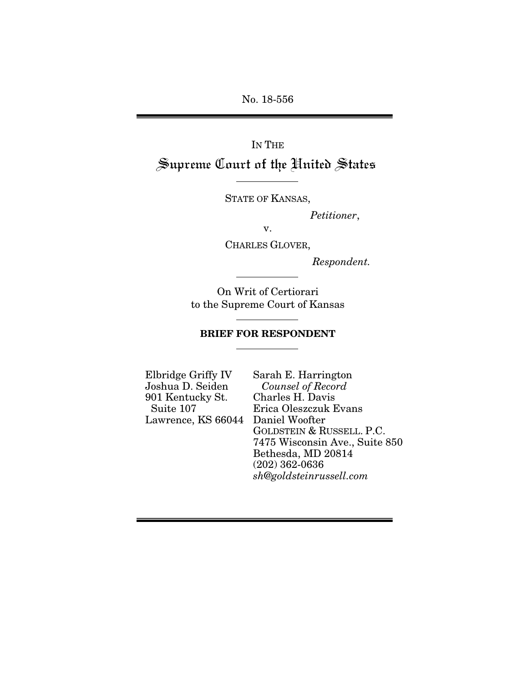No. 18-556

IN THE Supreme Court of the United States

STATE OF KANSAS,

 *Petitioner*,

v.

CHARLES GLOVER,

*Respondent.* 

On Writ of Certiorari to the Supreme Court of Kansas

### BRIEF FOR RESPONDENT

Elbridge Griffy IV Joshua D. Seiden 901 Kentucky St. Suite 107 Lawrence, KS 66044

Sarah E. Harrington *Counsel of Record*  Charles H. Davis Erica Oleszczuk Evans Daniel Woofter GOLDSTEIN & RUSSELL. P.C. 7475 Wisconsin Ave., Suite 850 Bethesda, MD 20814 (202) 362-0636 *sh@goldsteinrussell.com*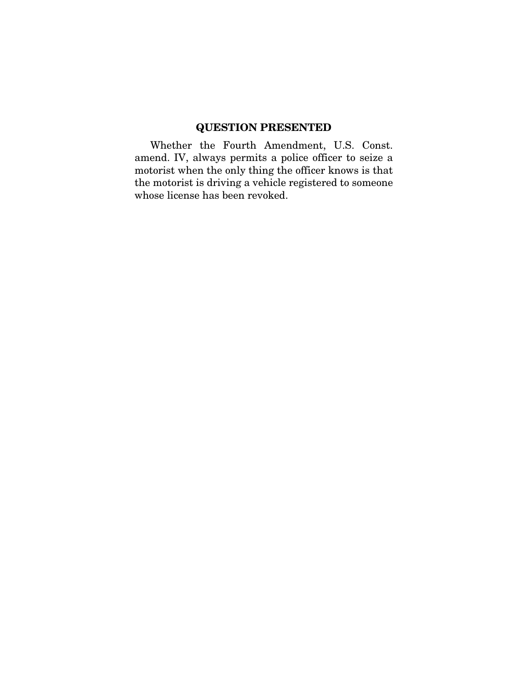# QUESTION PRESENTED

Whether the Fourth Amendment, U.S. Const. amend. IV, always permits a police officer to seize a motorist when the only thing the officer knows is that the motorist is driving a vehicle registered to someone whose license has been revoked.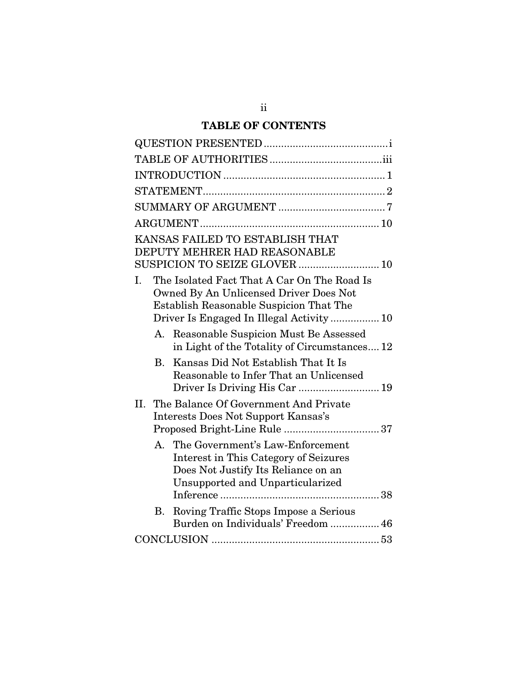# TABLE OF CONTENTS

| KANSAS FAILED TO ESTABLISH THAT<br>DEPUTY MEHRER HAD REASONABLE<br>SUSPICION TO SEIZE GLOVER  10                                                                                                     |  |  |  |  |
|------------------------------------------------------------------------------------------------------------------------------------------------------------------------------------------------------|--|--|--|--|
| The Isolated Fact That A Car On The Road Is<br>$\mathbf{L}$<br>Owned By An Unlicensed Driver Does Not<br><b>Establish Reasonable Suspicion That The</b><br>Driver Is Engaged In Illegal Activity  10 |  |  |  |  |
| A. Reasonable Suspicion Must Be Assessed<br>in Light of the Totality of Circumstances 12                                                                                                             |  |  |  |  |
| Kansas Did Not Establish That It Is<br><b>B.</b><br>Reasonable to Infer That an Unlicensed<br>Driver Is Driving His Car  19                                                                          |  |  |  |  |
| The Balance Of Government And Private<br>II.<br>Interests Does Not Support Kansas's                                                                                                                  |  |  |  |  |
| The Government's Law-Enforcement<br>A.<br>Interest in This Category of Seizures<br>Does Not Justify Its Reliance on an<br><b>Unsupported and Unparticularized</b>                                    |  |  |  |  |
| В.<br>Roving Traffic Stops Impose a Serious<br>Burden on Individuals' Freedom  46                                                                                                                    |  |  |  |  |
|                                                                                                                                                                                                      |  |  |  |  |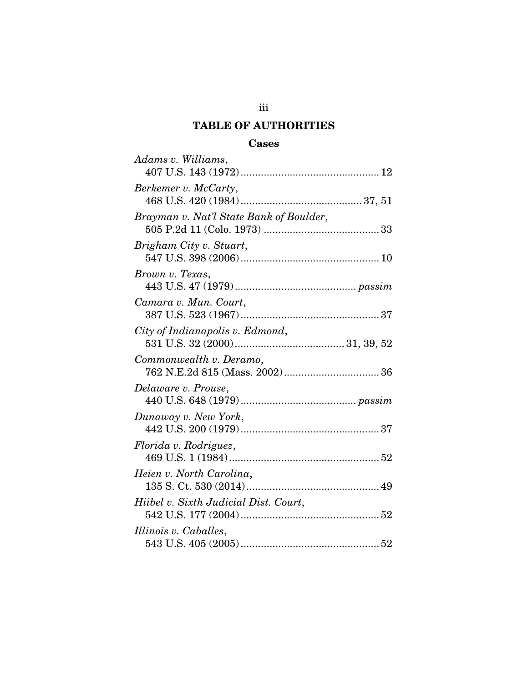# TABLE OF AUTHORITIES

# Cases

| Adams v. Williams,                      |
|-----------------------------------------|
| Berkemer v. McCarty,                    |
| Brayman v. Nat'l State Bank of Boulder, |
| Brigham City v. Stuart,                 |
| Brown v. Texas,                         |
| Camara v. Mun. Court,                   |
| City of Indianapolis v. Edmond,         |
| Commonwealth v. Deramo,                 |
| Delaware v. Prouse,                     |
| Dunaway v. New York,                    |
| Florida v. Rodriguez,                   |
| Heien v. North Carolina,                |
| Hiibel v. Sixth Judicial Dist. Court,   |
| Illinois v. Caballes,                   |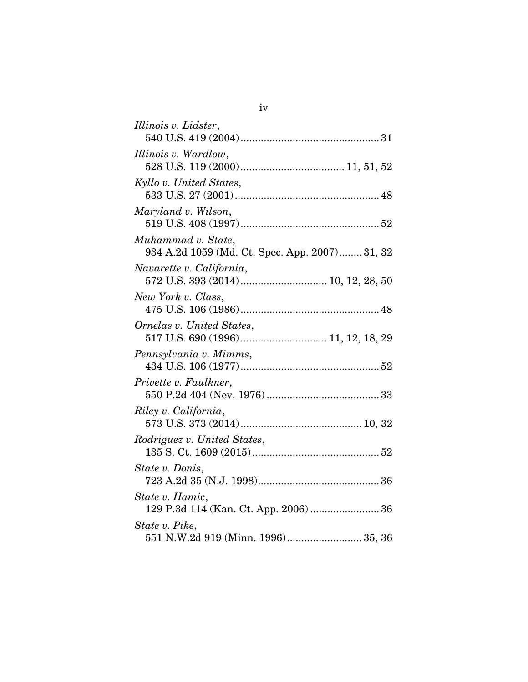| Illinois v. Lidster,                                            |
|-----------------------------------------------------------------|
|                                                                 |
| Illinois v. Wardlow,                                            |
|                                                                 |
| Kyllo v. United States,                                         |
|                                                                 |
| Maryland v. Wilson,                                             |
|                                                                 |
| Muhammad v. State,                                              |
| 934 A.2d 1059 (Md. Ct. Spec. App. 2007) 31, 32                  |
| Navarette v. California,                                        |
|                                                                 |
| New York v. Class,                                              |
|                                                                 |
| Ornelas v. United States,<br>517 U.S. 690 (1996) 11, 12, 18, 29 |
|                                                                 |
| Pennsylvania v. Mimms,                                          |
| Privette v. Faulkner,                                           |
|                                                                 |
| Riley v. California,                                            |
|                                                                 |
| Rodriguez v. United States,                                     |
|                                                                 |
| State v. Donis,                                                 |
|                                                                 |
| State v. Hamic,                                                 |
| 129 P.3d 114 (Kan. Ct. App. 2006)  36                           |
| State v. Pike,                                                  |
| 551 N.W.2d 919 (Minn. 1996) 35, 36                              |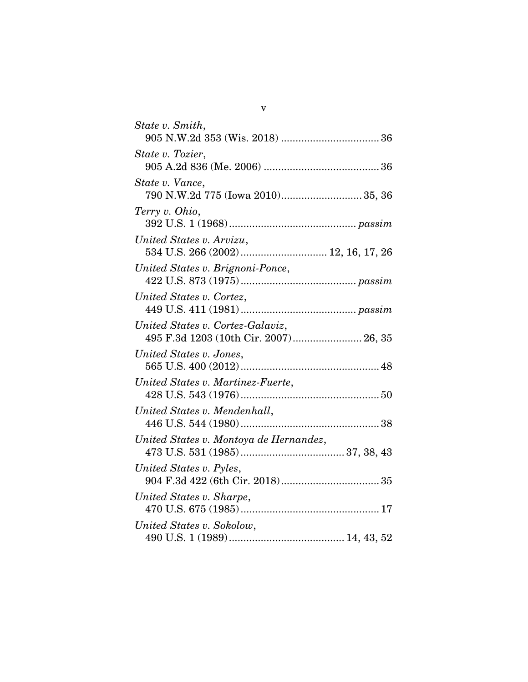| State v. Smith,                                                           |
|---------------------------------------------------------------------------|
| State v. Tozier,                                                          |
| State v. Vance,<br>790 N.W.2d 775 (Iowa 2010) 35, 36                      |
| Terry v. Ohio,                                                            |
| United States v. Arvizu,<br>534 U.S. 266 (2002)  12, 16, 17, 26           |
| United States v. Brignoni-Ponce,                                          |
| United States v. Cortez,                                                  |
| United States v. Cortez-Galaviz,<br>495 F.3d 1203 (10th Cir. 2007) 26, 35 |
| United States v. Jones,                                                   |
| United States v. Martinez-Fuerte,                                         |
| United States v. Mendenhall,                                              |
| United States v. Montoya de Hernandez,                                    |
| United States v. Pyles,                                                   |
| United States v. Sharpe,                                                  |
| United States v. Sokolow,                                                 |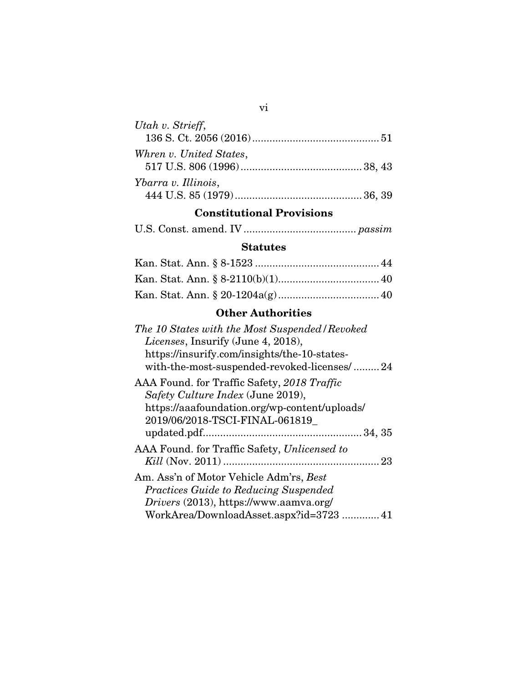| Utah v. Strieff,        |  |
|-------------------------|--|
| Whren v. United States, |  |
| Ybarra v. Illinois,     |  |

# Constitutional Provisions

## **Statutes**

# Other Authorities

| The 10 States with the Most Suspended / Revoked |
|-------------------------------------------------|
| <i>Licenses</i> , Insurify (June 4, 2018),      |
| https://insurify.com/insights/the-10-states-    |
| with-the-most-suspended-revoked-licenses/24     |
| AAA Found. for Traffic Safety, 2018 Traffic     |
| Safety Culture Index (June 2019),               |
| https://aaafoundation.org/wp-content/uploads/   |
| 2019/06/2018-TSCI-FINAL-061819                  |
|                                                 |
| AAA Found. for Traffic Safety, Unlicensed to    |
|                                                 |
| Am. Ass'n of Motor Vehicle Adm'rs, Best         |
| <b>Practices Guide to Reducing Suspended</b>    |
| Drivers (2013), https://www.aamva.org/          |
| WorkArea/DownloadAsset.aspx?id=372341           |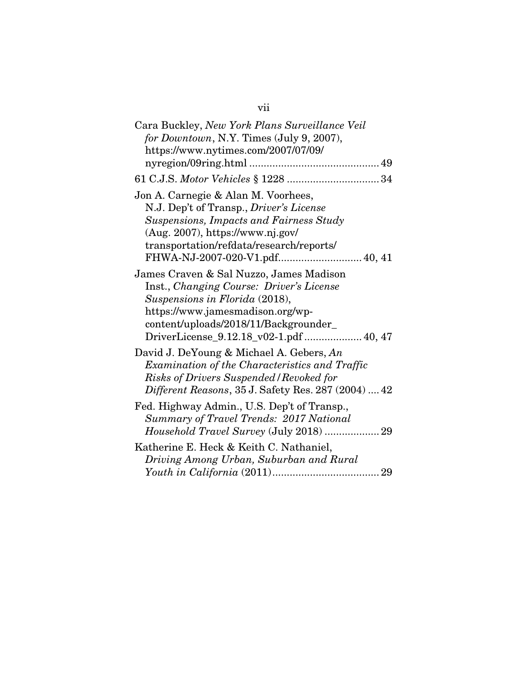# vii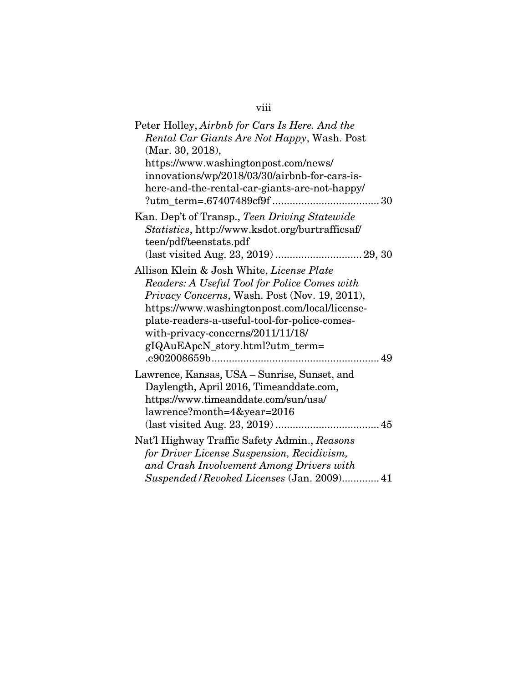| Peter Holley, Airbnb for Cars Is Here. And the   |
|--------------------------------------------------|
| Rental Car Giants Are Not Happy, Wash. Post      |
| (Mar. 30, 2018),                                 |
| https://www.washingtonpost.com/news/             |
| innovations/wp/2018/03/30/airbnb-for-cars-is-    |
| here-and-the-rental-car-giants-are-not-happy/    |
|                                                  |
| Kan. Dep't of Transp., Teen Driving Statewide    |
| Statistics, http://www.ksdot.org/burtrafficsaf/  |
| teen/pdf/teenstats.pdf                           |
|                                                  |
| Allison Klein & Josh White, <i>License Plate</i> |
| Readers: A Useful Tool for Police Comes with     |
| Privacy Concerns, Wash. Post (Nov. 19, 2011),    |
| https://www.washingtonpost.com/local/license-    |
| plate-readers-a-useful-tool-for-police-comes-    |
| with-privacy-concerns/2011/11/18/                |
| gIQAuEApcN_story.html?utm_term=                  |
|                                                  |
| Lawrence, Kansas, USA - Sunrise, Sunset, and     |
| Daylength, April 2016, Timeanddate.com,          |
| https://www.timeanddate.com/sun/usa/             |
| lawrence?month=4&year=2016                       |
|                                                  |
| Nat'l Highway Traffic Safety Admin., Reasons     |
| for Driver License Suspension, Recidivism,       |
| and Crash Involvement Among Drivers with         |
| Suspended / Revoked Licenses (Jan. 2009) 41      |

# viii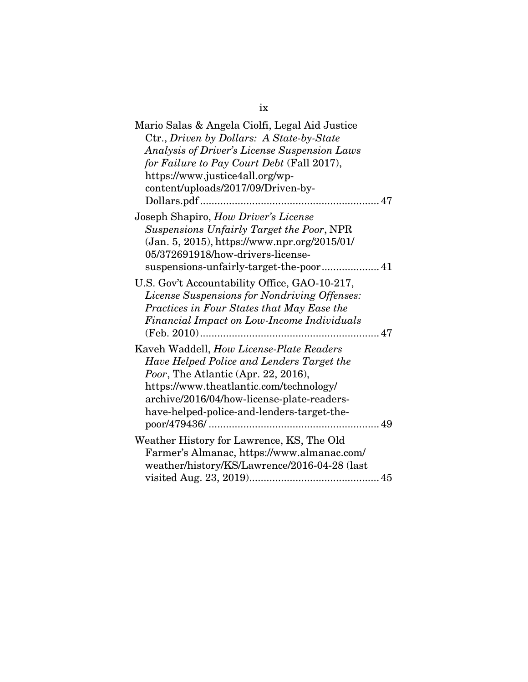| Mario Salas & Angela Ciolfi, Legal Aid Justice |  |
|------------------------------------------------|--|
| Ctr., Driven by Dollars: A State-by-State      |  |
| Analysis of Driver's License Suspension Laws   |  |
| for Failure to Pay Court Debt (Fall 2017),     |  |
| https://www.justice4all.org/wp-                |  |
| content/uploads/2017/09/Driven-by-             |  |
|                                                |  |
| Joseph Shapiro, How Driver's License           |  |
| Suspensions Unfairly Target the Poor, NPR      |  |
| (Jan. 5, 2015), https://www.npr.org/2015/01/   |  |
| 05/372691918/how-drivers-license-              |  |
| suspensions-unfairly-target-the-poor 41        |  |
| U.S. Gov't Accountability Office, GAO-10-217,  |  |
| License Suspensions for Nondriving Offenses:   |  |
| Practices in Four States that May Ease the     |  |
| Financial Impact on Low-Income Individuals     |  |
|                                                |  |
| Kaveh Waddell, How License-Plate Readers       |  |
| Have Helped Police and Lenders Target the      |  |
| Poor, The Atlantic (Apr. 22, 2016),            |  |
| https://www.theatlantic.com/technology/        |  |
| archive/2016/04/how-license-plate-readers-     |  |
| have-helped-police-and-lenders-target-the-     |  |
|                                                |  |
| Weather History for Lawrence, KS, The Old      |  |
| Farmer's Almanac, https://www.almanac.com/     |  |
| weather/history/KS/Lawrence/2016-04-28 (last   |  |
|                                                |  |
|                                                |  |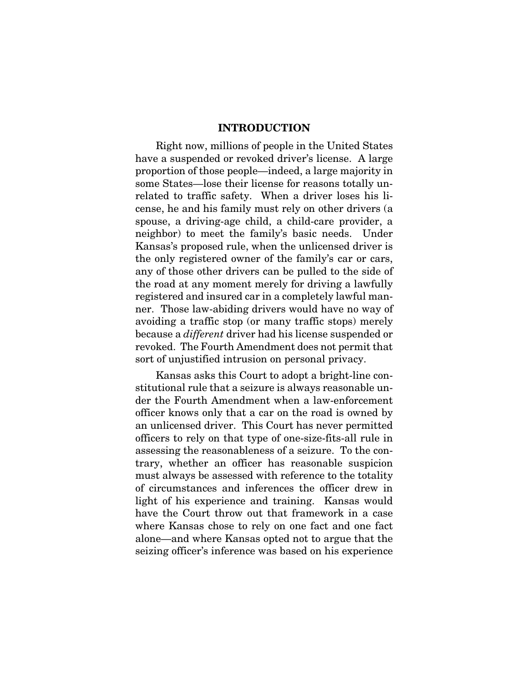### INTRODUCTION

Right now, millions of people in the United States have a suspended or revoked driver's license. A large proportion of those people—indeed, a large majority in some States—lose their license for reasons totally unrelated to traffic safety. When a driver loses his license, he and his family must rely on other drivers (a spouse, a driving-age child, a child-care provider, a neighbor) to meet the family's basic needs. Under Kansas's proposed rule, when the unlicensed driver is the only registered owner of the family's car or cars, any of those other drivers can be pulled to the side of the road at any moment merely for driving a lawfully registered and insured car in a completely lawful manner. Those law-abiding drivers would have no way of avoiding a traffic stop (or many traffic stops) merely because a *different* driver had his license suspended or revoked. The Fourth Amendment does not permit that sort of unjustified intrusion on personal privacy.

Kansas asks this Court to adopt a bright-line constitutional rule that a seizure is always reasonable under the Fourth Amendment when a law-enforcement officer knows only that a car on the road is owned by an unlicensed driver. This Court has never permitted officers to rely on that type of one-size-fits-all rule in assessing the reasonableness of a seizure. To the contrary, whether an officer has reasonable suspicion must always be assessed with reference to the totality of circumstances and inferences the officer drew in light of his experience and training. Kansas would have the Court throw out that framework in a case where Kansas chose to rely on one fact and one fact alone—and where Kansas opted not to argue that the seizing officer's inference was based on his experience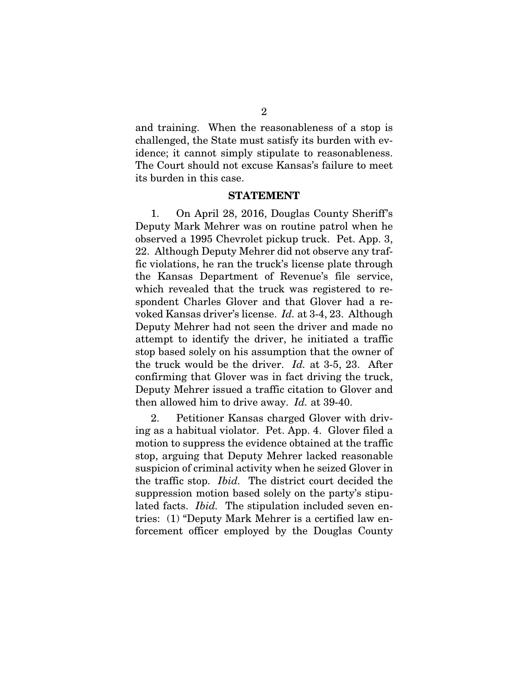and training. When the reasonableness of a stop is challenged, the State must satisfy its burden with evidence; it cannot simply stipulate to reasonableness. The Court should not excuse Kansas's failure to meet its burden in this case.

#### STATEMENT

1. On April 28, 2016, Douglas County Sheriff's Deputy Mark Mehrer was on routine patrol when he observed a 1995 Chevrolet pickup truck. Pet. App. 3, 22. Although Deputy Mehrer did not observe any traffic violations, he ran the truck's license plate through the Kansas Department of Revenue's file service, which revealed that the truck was registered to respondent Charles Glover and that Glover had a revoked Kansas driver's license. *Id.* at 3-4, 23. Although Deputy Mehrer had not seen the driver and made no attempt to identify the driver, he initiated a traffic stop based solely on his assumption that the owner of the truck would be the driver. *Id.* at 3-5, 23. After confirming that Glover was in fact driving the truck, Deputy Mehrer issued a traffic citation to Glover and then allowed him to drive away. *Id.* at 39-40.

2. Petitioner Kansas charged Glover with driving as a habitual violator. Pet. App. 4. Glover filed a motion to suppress the evidence obtained at the traffic stop, arguing that Deputy Mehrer lacked reasonable suspicion of criminal activity when he seized Glover in the traffic stop. *Ibid.* The district court decided the suppression motion based solely on the party's stipulated facts. *Ibid.* The stipulation included seven entries: (1) "Deputy Mark Mehrer is a certified law enforcement officer employed by the Douglas County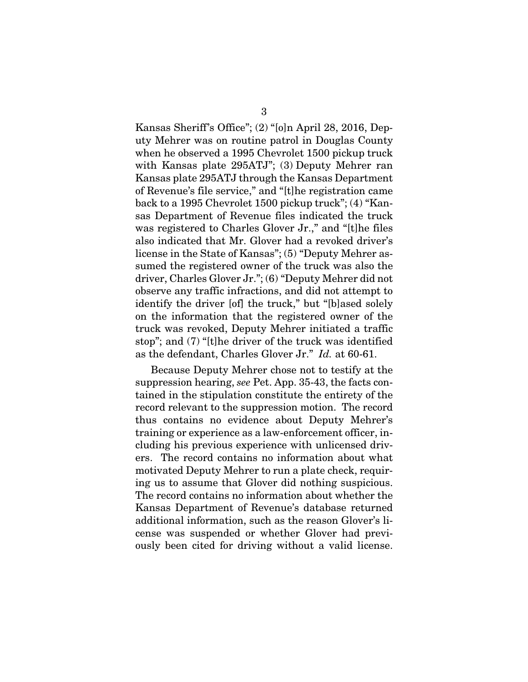Kansas Sheriff's Office"; (2) "[o]n April 28, 2016, Deputy Mehrer was on routine patrol in Douglas County when he observed a 1995 Chevrolet 1500 pickup truck with Kansas plate 295ATJ"; (3) Deputy Mehrer ran Kansas plate 295ATJ through the Kansas Department of Revenue's file service," and "[t]he registration came back to a 1995 Chevrolet 1500 pickup truck"; (4) "Kansas Department of Revenue files indicated the truck was registered to Charles Glover Jr.," and "[t]he files also indicated that Mr. Glover had a revoked driver's license in the State of Kansas"; (5) "Deputy Mehrer assumed the registered owner of the truck was also the driver, Charles Glover Jr."; (6) "Deputy Mehrer did not observe any traffic infractions, and did not attempt to identify the driver [of] the truck," but "[b]ased solely on the information that the registered owner of the truck was revoked, Deputy Mehrer initiated a traffic stop"; and (7) "[t]he driver of the truck was identified as the defendant, Charles Glover Jr." *Id.* at 60-61.

Because Deputy Mehrer chose not to testify at the suppression hearing, *see* Pet. App. 35-43, the facts contained in the stipulation constitute the entirety of the record relevant to the suppression motion. The record thus contains no evidence about Deputy Mehrer's training or experience as a law-enforcement officer, including his previous experience with unlicensed drivers. The record contains no information about what motivated Deputy Mehrer to run a plate check, requiring us to assume that Glover did nothing suspicious. The record contains no information about whether the Kansas Department of Revenue's database returned additional information, such as the reason Glover's license was suspended or whether Glover had previously been cited for driving without a valid license.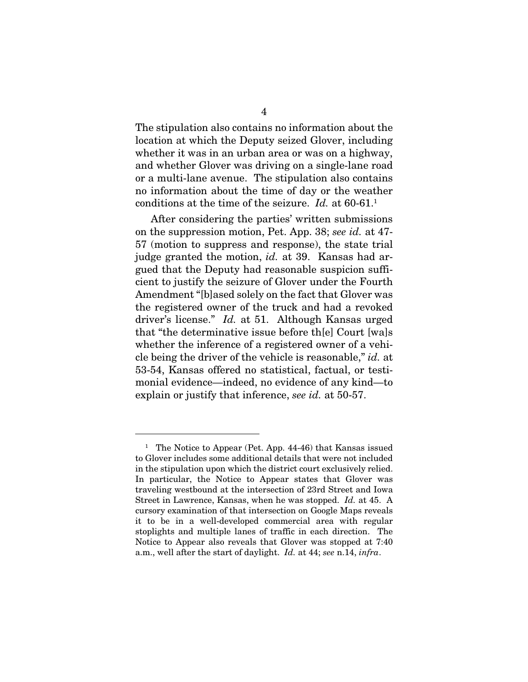The stipulation also contains no information about the location at which the Deputy seized Glover, including whether it was in an urban area or was on a highway, and whether Glover was driving on a single-lane road or a multi-lane avenue. The stipulation also contains no information about the time of day or the weather conditions at the time of the seizure. *Id.* at 60-61.<sup>1</sup>

After considering the parties' written submissions on the suppression motion, Pet. App. 38; *see id.* at 47- 57 (motion to suppress and response), the state trial judge granted the motion, *id.* at 39. Kansas had argued that the Deputy had reasonable suspicion sufficient to justify the seizure of Glover under the Fourth Amendment "[b]ased solely on the fact that Glover was the registered owner of the truck and had a revoked driver's license." *Id.* at 51. Although Kansas urged that "the determinative issue before th[e] Court [wa]s whether the inference of a registered owner of a vehicle being the driver of the vehicle is reasonable," *id.* at 53-54, Kansas offered no statistical, factual, or testimonial evidence—indeed, no evidence of any kind—to explain or justify that inference, *see id.* at 50-57.

<sup>&</sup>lt;sup>1</sup> The Notice to Appear (Pet. App. 44-46) that Kansas issued to Glover includes some additional details that were not included in the stipulation upon which the district court exclusively relied. In particular, the Notice to Appear states that Glover was traveling westbound at the intersection of 23rd Street and Iowa Street in Lawrence, Kansas, when he was stopped. *Id.* at 45. A cursory examination of that intersection on Google Maps reveals it to be in a well-developed commercial area with regular stoplights and multiple lanes of traffic in each direction. The Notice to Appear also reveals that Glover was stopped at 7:40 a.m., well after the start of daylight. *Id.* at 44; *see* n.14, *infra*.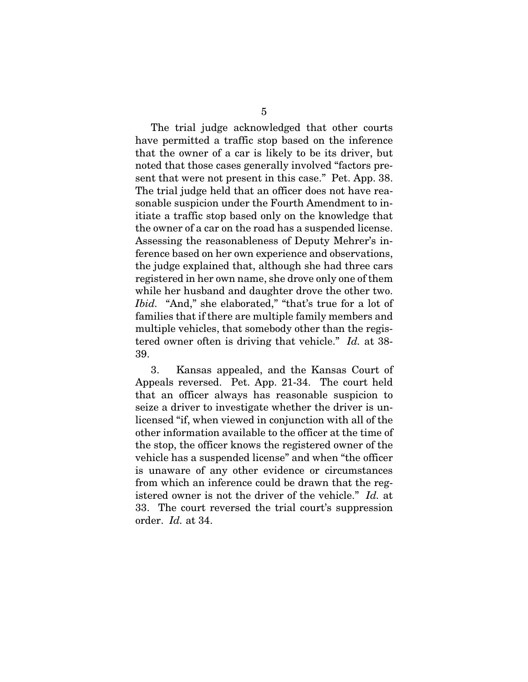The trial judge acknowledged that other courts have permitted a traffic stop based on the inference that the owner of a car is likely to be its driver, but noted that those cases generally involved "factors present that were not present in this case." Pet. App. 38. The trial judge held that an officer does not have reasonable suspicion under the Fourth Amendment to initiate a traffic stop based only on the knowledge that the owner of a car on the road has a suspended license. Assessing the reasonableness of Deputy Mehrer's inference based on her own experience and observations, the judge explained that, although she had three cars registered in her own name, she drove only one of them while her husband and daughter drove the other two. *Ibid.* "And," she elaborated," "that's true for a lot of families that if there are multiple family members and multiple vehicles, that somebody other than the registered owner often is driving that vehicle." *Id.* at 38- 39.

3. Kansas appealed, and the Kansas Court of Appeals reversed. Pet. App. 21-34. The court held that an officer always has reasonable suspicion to seize a driver to investigate whether the driver is unlicensed "if, when viewed in conjunction with all of the other information available to the officer at the time of the stop, the officer knows the registered owner of the vehicle has a suspended license" and when "the officer is unaware of any other evidence or circumstances from which an inference could be drawn that the registered owner is not the driver of the vehicle." *Id.* at 33. The court reversed the trial court's suppression order. *Id.* at 34.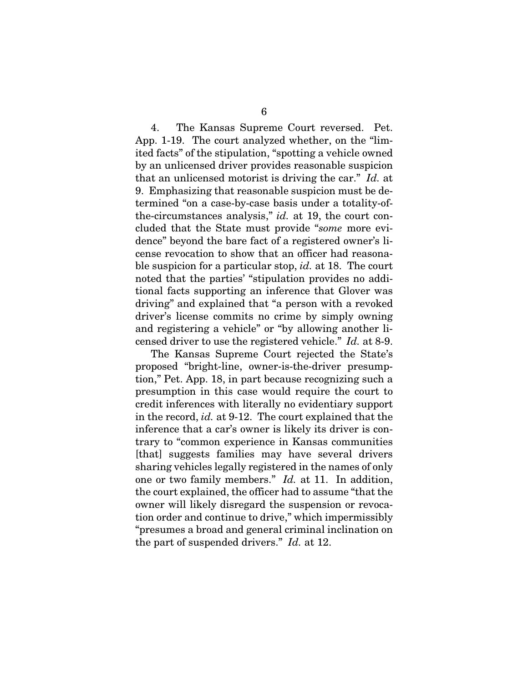4. The Kansas Supreme Court reversed. Pet. App. 1-19. The court analyzed whether, on the "limited facts" of the stipulation, "spotting a vehicle owned by an unlicensed driver provides reasonable suspicion that an unlicensed motorist is driving the car." *Id.* at 9. Emphasizing that reasonable suspicion must be determined "on a case-by-case basis under a totality-ofthe-circumstances analysis," *id.* at 19, the court concluded that the State must provide "*some* more evidence" beyond the bare fact of a registered owner's license revocation to show that an officer had reasonable suspicion for a particular stop, *id.* at 18. The court noted that the parties' "stipulation provides no additional facts supporting an inference that Glover was driving" and explained that "a person with a revoked driver's license commits no crime by simply owning and registering a vehicle" or "by allowing another licensed driver to use the registered vehicle." *Id.* at 8-9.

The Kansas Supreme Court rejected the State's proposed "bright-line, owner-is-the-driver presumption," Pet. App. 18, in part because recognizing such a presumption in this case would require the court to credit inferences with literally no evidentiary support in the record, *id.* at 9-12. The court explained that the inference that a car's owner is likely its driver is contrary to "common experience in Kansas communities [that] suggests families may have several drivers sharing vehicles legally registered in the names of only one or two family members." *Id.* at 11. In addition, the court explained, the officer had to assume "that the owner will likely disregard the suspension or revocation order and continue to drive," which impermissibly "presumes a broad and general criminal inclination on the part of suspended drivers." *Id.* at 12.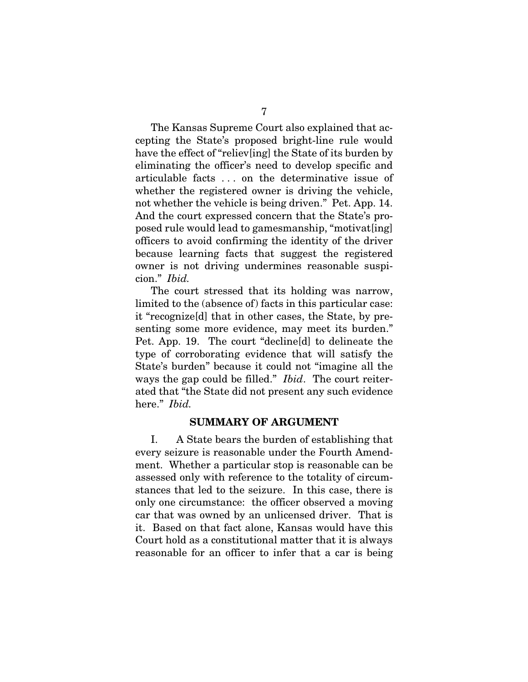The Kansas Supreme Court also explained that accepting the State's proposed bright-line rule would have the effect of "reliev[ing] the State of its burden by eliminating the officer's need to develop specific and articulable facts . . . on the determinative issue of whether the registered owner is driving the vehicle, not whether the vehicle is being driven." Pet. App. 14. And the court expressed concern that the State's proposed rule would lead to gamesmanship, "motivat[ing] officers to avoid confirming the identity of the driver because learning facts that suggest the registered owner is not driving undermines reasonable suspicion." *Ibid.*

The court stressed that its holding was narrow, limited to the (absence of) facts in this particular case: it "recognize[d] that in other cases, the State, by presenting some more evidence, may meet its burden." Pet. App. 19. The court "decline[d] to delineate the type of corroborating evidence that will satisfy the State's burden" because it could not "imagine all the ways the gap could be filled." *Ibid*. The court reiterated that "the State did not present any such evidence here." *Ibid.*

### SUMMARY OF ARGUMENT

I. A State bears the burden of establishing that every seizure is reasonable under the Fourth Amendment. Whether a particular stop is reasonable can be assessed only with reference to the totality of circumstances that led to the seizure. In this case, there is only one circumstance: the officer observed a moving car that was owned by an unlicensed driver. That is it. Based on that fact alone, Kansas would have this Court hold as a constitutional matter that it is always reasonable for an officer to infer that a car is being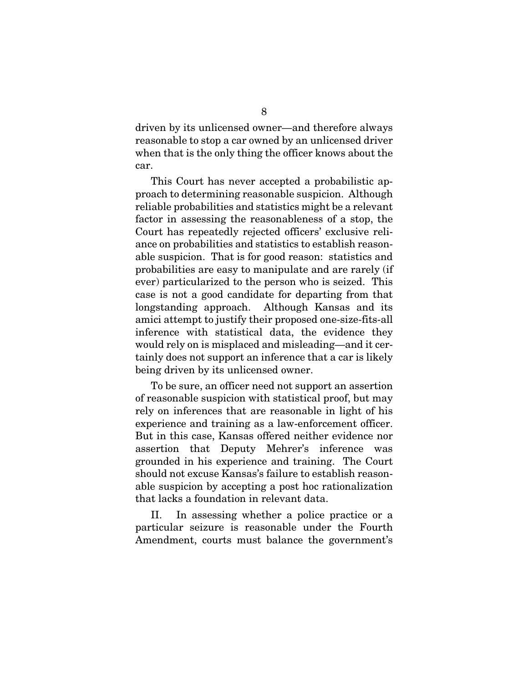driven by its unlicensed owner—and therefore always reasonable to stop a car owned by an unlicensed driver when that is the only thing the officer knows about the car.

This Court has never accepted a probabilistic approach to determining reasonable suspicion. Although reliable probabilities and statistics might be a relevant factor in assessing the reasonableness of a stop, the Court has repeatedly rejected officers' exclusive reliance on probabilities and statistics to establish reasonable suspicion. That is for good reason: statistics and probabilities are easy to manipulate and are rarely (if ever) particularized to the person who is seized. This case is not a good candidate for departing from that longstanding approach. Although Kansas and its amici attempt to justify their proposed one-size-fits-all inference with statistical data, the evidence they would rely on is misplaced and misleading—and it certainly does not support an inference that a car is likely being driven by its unlicensed owner.

To be sure, an officer need not support an assertion of reasonable suspicion with statistical proof, but may rely on inferences that are reasonable in light of his experience and training as a law-enforcement officer. But in this case, Kansas offered neither evidence nor assertion that Deputy Mehrer's inference was grounded in his experience and training. The Court should not excuse Kansas's failure to establish reasonable suspicion by accepting a post hoc rationalization that lacks a foundation in relevant data.

II. In assessing whether a police practice or a particular seizure is reasonable under the Fourth Amendment, courts must balance the government's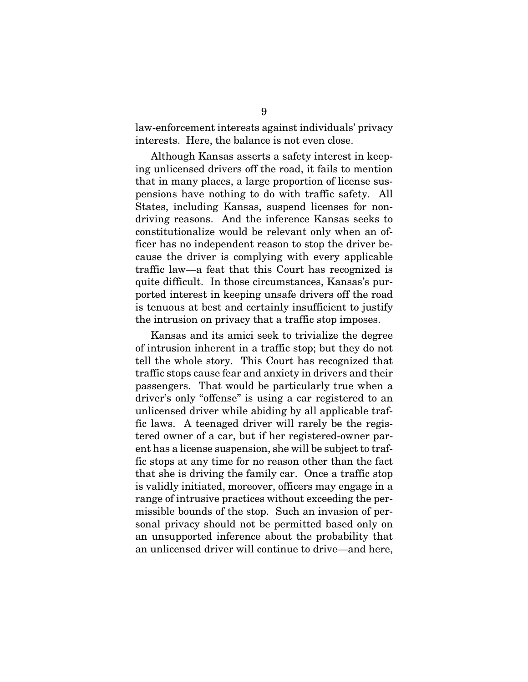law-enforcement interests against individuals' privacy interests. Here, the balance is not even close.

Although Kansas asserts a safety interest in keeping unlicensed drivers off the road, it fails to mention that in many places, a large proportion of license suspensions have nothing to do with traffic safety. All States, including Kansas, suspend licenses for nondriving reasons. And the inference Kansas seeks to constitutionalize would be relevant only when an officer has no independent reason to stop the driver because the driver is complying with every applicable traffic law—a feat that this Court has recognized is quite difficult. In those circumstances, Kansas's purported interest in keeping unsafe drivers off the road is tenuous at best and certainly insufficient to justify the intrusion on privacy that a traffic stop imposes.

Kansas and its amici seek to trivialize the degree of intrusion inherent in a traffic stop; but they do not tell the whole story. This Court has recognized that traffic stops cause fear and anxiety in drivers and their passengers. That would be particularly true when a driver's only "offense" is using a car registered to an unlicensed driver while abiding by all applicable traffic laws. A teenaged driver will rarely be the registered owner of a car, but if her registered-owner parent has a license suspension, she will be subject to traffic stops at any time for no reason other than the fact that she is driving the family car. Once a traffic stop is validly initiated, moreover, officers may engage in a range of intrusive practices without exceeding the permissible bounds of the stop. Such an invasion of personal privacy should not be permitted based only on an unsupported inference about the probability that an unlicensed driver will continue to drive—and here,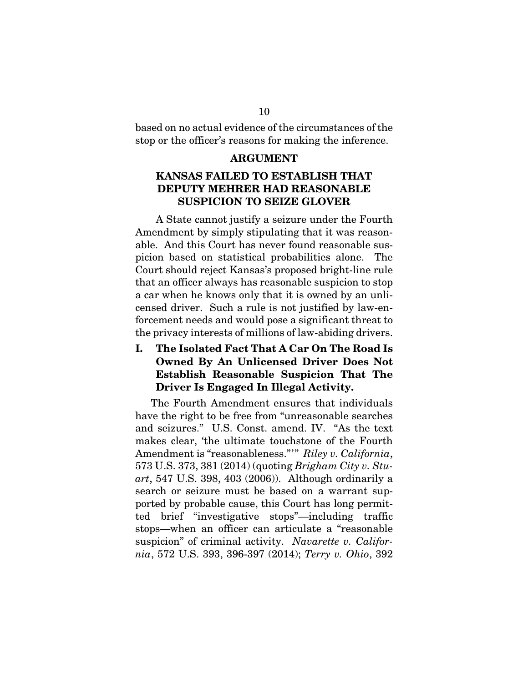based on no actual evidence of the circumstances of the stop or the officer's reasons for making the inference.

#### ARGUMENT

## KANSAS FAILED TO ESTABLISH THAT DEPUTY MEHRER HAD REASONABLE SUSPICION TO SEIZE GLOVER

A State cannot justify a seizure under the Fourth Amendment by simply stipulating that it was reasonable. And this Court has never found reasonable suspicion based on statistical probabilities alone. The Court should reject Kansas's proposed bright-line rule that an officer always has reasonable suspicion to stop a car when he knows only that it is owned by an unlicensed driver. Such a rule is not justified by law-enforcement needs and would pose a significant threat to the privacy interests of millions of law-abiding drivers.

## I. The Isolated Fact That A Car On The Road Is Owned By An Unlicensed Driver Does Not Establish Reasonable Suspicion That The Driver Is Engaged In Illegal Activity.

The Fourth Amendment ensures that individuals have the right to be free from "unreasonable searches and seizures." U.S. Const. amend. IV. "As the text makes clear, 'the ultimate touchstone of the Fourth Amendment is "reasonableness."'" *Riley v. California*, 573 U.S. 373, 381 (2014) (quoting *Brigham City v. Stuart*, 547 U.S. 398, 403 (2006)). Although ordinarily a search or seizure must be based on a warrant supported by probable cause, this Court has long permitted brief "investigative stops"—including traffic stops—when an officer can articulate a "reasonable suspicion" of criminal activity. *Navarette v. California*, 572 U.S. 393, 396-397 (2014); *Terry v. Ohio*, 392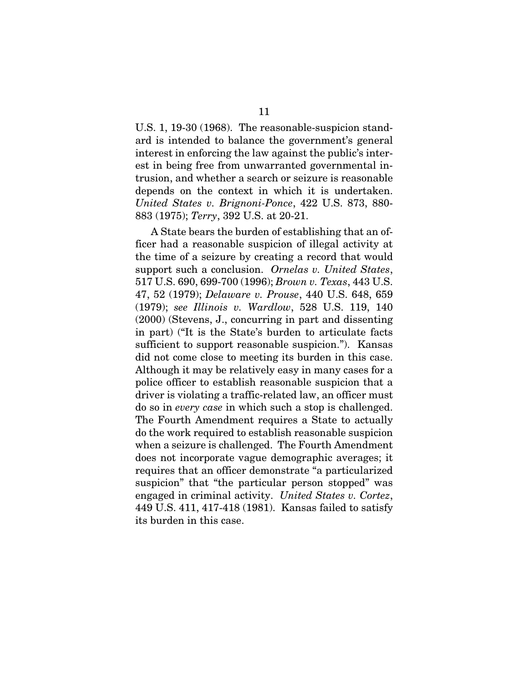U.S. 1, 19-30 (1968). The reasonable-suspicion standard is intended to balance the government's general interest in enforcing the law against the public's interest in being free from unwarranted governmental intrusion, and whether a search or seizure is reasonable depends on the context in which it is undertaken. *United States v. Brignoni-Ponce*, 422 U.S. 873, 880- 883 (1975); *Terry*, 392 U.S. at 20-21.

A State bears the burden of establishing that an officer had a reasonable suspicion of illegal activity at the time of a seizure by creating a record that would support such a conclusion. *Ornelas v. United States*, 517 U.S. 690, 699-700 (1996); *Brown v. Texas*, 443 U.S. 47, 52 (1979); *Delaware v. Prouse*, 440 U.S. 648, 659 (1979); *see Illinois v. Wardlow*, 528 U.S. 119, 140 (2000) (Stevens, J., concurring in part and dissenting in part) ("It is the State's burden to articulate facts sufficient to support reasonable suspicion."). Kansas did not come close to meeting its burden in this case. Although it may be relatively easy in many cases for a police officer to establish reasonable suspicion that a driver is violating a traffic-related law, an officer must do so in *every case* in which such a stop is challenged. The Fourth Amendment requires a State to actually do the work required to establish reasonable suspicion when a seizure is challenged. The Fourth Amendment does not incorporate vague demographic averages; it requires that an officer demonstrate "a particularized suspicion" that "the particular person stopped" was engaged in criminal activity. *United States v. Cortez*, 449 U.S. 411, 417-418 (1981). Kansas failed to satisfy its burden in this case.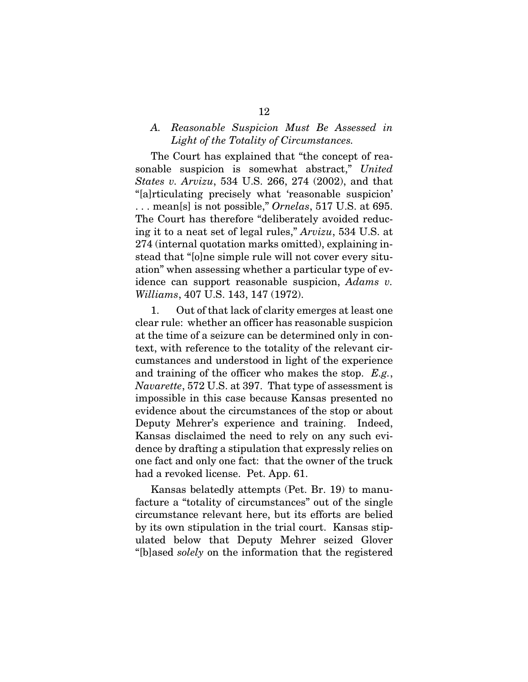### *A. Reasonable Suspicion Must Be Assessed in Light of the Totality of Circumstances.*

The Court has explained that "the concept of reasonable suspicion is somewhat abstract," *United States v. Arvizu*, 534 U.S. 266, 274 (2002), and that "[a]rticulating precisely what 'reasonable suspicion' . . . mean[s] is not possible," *Ornelas*, 517 U.S. at 695. The Court has therefore "deliberately avoided reducing it to a neat set of legal rules," *Arvizu*, 534 U.S. at 274 (internal quotation marks omitted), explaining instead that "[o]ne simple rule will not cover every situation" when assessing whether a particular type of evidence can support reasonable suspicion, *Adams v. Williams*, 407 U.S. 143, 147 (1972).

1. Out of that lack of clarity emerges at least one clear rule: whether an officer has reasonable suspicion at the time of a seizure can be determined only in context, with reference to the totality of the relevant circumstances and understood in light of the experience and training of the officer who makes the stop. *E.g.*, *Navarette*, 572 U.S. at 397. That type of assessment is impossible in this case because Kansas presented no evidence about the circumstances of the stop or about Deputy Mehrer's experience and training. Indeed, Kansas disclaimed the need to rely on any such evidence by drafting a stipulation that expressly relies on one fact and only one fact: that the owner of the truck had a revoked license. Pet. App. 61.

Kansas belatedly attempts (Pet. Br. 19) to manufacture a "totality of circumstances" out of the single circumstance relevant here, but its efforts are belied by its own stipulation in the trial court. Kansas stipulated below that Deputy Mehrer seized Glover "[b]ased *solely* on the information that the registered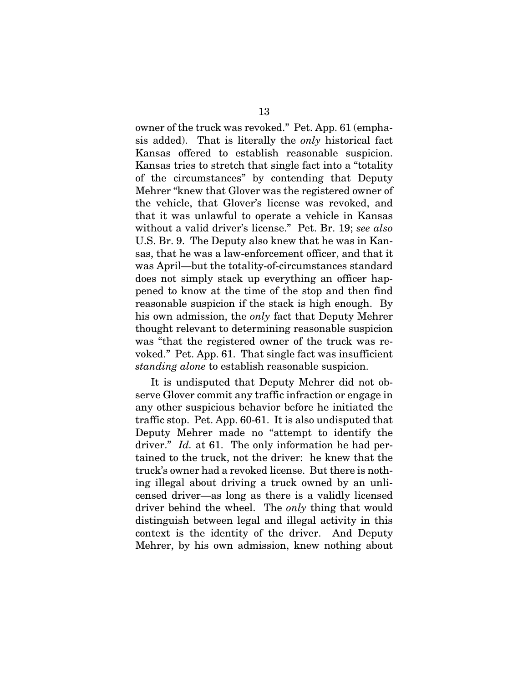owner of the truck was revoked." Pet. App. 61 (emphasis added). That is literally the *only* historical fact Kansas offered to establish reasonable suspicion. Kansas tries to stretch that single fact into a "totality of the circumstances" by contending that Deputy Mehrer "knew that Glover was the registered owner of the vehicle, that Glover's license was revoked, and that it was unlawful to operate a vehicle in Kansas without a valid driver's license." Pet. Br. 19; *see also*  U.S. Br. 9. The Deputy also knew that he was in Kansas, that he was a law-enforcement officer, and that it was April—but the totality-of-circumstances standard does not simply stack up everything an officer happened to know at the time of the stop and then find reasonable suspicion if the stack is high enough. By his own admission, the *only* fact that Deputy Mehrer thought relevant to determining reasonable suspicion was "that the registered owner of the truck was revoked." Pet. App. 61. That single fact was insufficient *standing alone* to establish reasonable suspicion.

It is undisputed that Deputy Mehrer did not observe Glover commit any traffic infraction or engage in any other suspicious behavior before he initiated the traffic stop. Pet. App. 60-61. It is also undisputed that Deputy Mehrer made no "attempt to identify the driver." *Id.* at 61. The only information he had pertained to the truck, not the driver: he knew that the truck's owner had a revoked license. But there is nothing illegal about driving a truck owned by an unlicensed driver—as long as there is a validly licensed driver behind the wheel. The *only* thing that would distinguish between legal and illegal activity in this context is the identity of the driver. And Deputy Mehrer, by his own admission, knew nothing about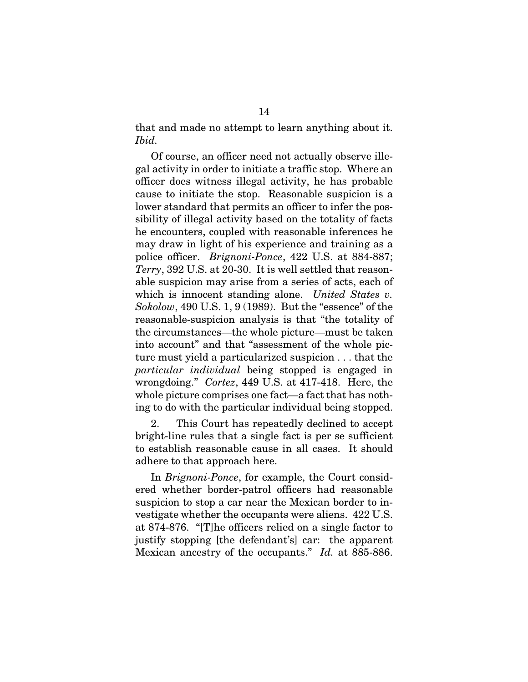that and made no attempt to learn anything about it. *Ibid.*

Of course, an officer need not actually observe illegal activity in order to initiate a traffic stop. Where an officer does witness illegal activity, he has probable cause to initiate the stop. Reasonable suspicion is a lower standard that permits an officer to infer the possibility of illegal activity based on the totality of facts he encounters, coupled with reasonable inferences he may draw in light of his experience and training as a police officer. *Brignoni-Ponce*, 422 U.S. at 884-887; *Terry*, 392 U.S. at 20-30. It is well settled that reasonable suspicion may arise from a series of acts, each of which is innocent standing alone. *United States v. Sokolow*, 490 U.S. 1, 9 (1989). But the "essence" of the reasonable-suspicion analysis is that "the totality of the circumstances—the whole picture—must be taken into account" and that "assessment of the whole picture must yield a particularized suspicion . . . that the *particular individual* being stopped is engaged in wrongdoing." *Cortez*, 449 U.S. at 417-418. Here, the whole picture comprises one fact—a fact that has nothing to do with the particular individual being stopped.

2. This Court has repeatedly declined to accept bright-line rules that a single fact is per se sufficient to establish reasonable cause in all cases. It should adhere to that approach here.

In *Brignoni-Ponce*, for example, the Court considered whether border-patrol officers had reasonable suspicion to stop a car near the Mexican border to investigate whether the occupants were aliens. 422 U.S. at 874-876. "[T]he officers relied on a single factor to justify stopping [the defendant's] car: the apparent Mexican ancestry of the occupants." *Id.* at 885-886.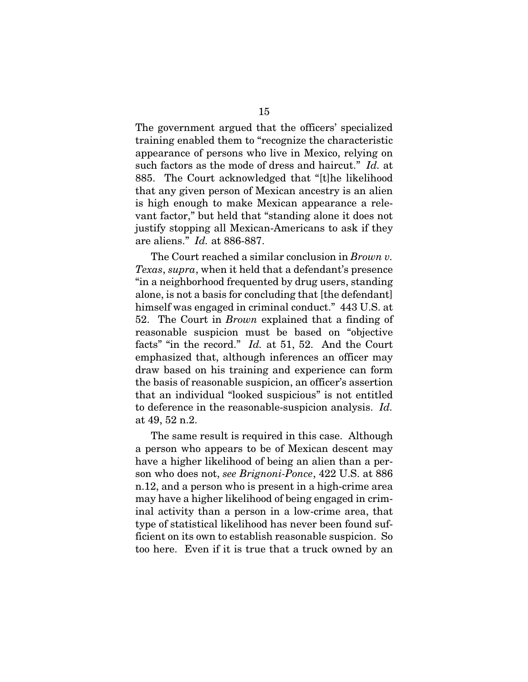The government argued that the officers' specialized training enabled them to "recognize the characteristic appearance of persons who live in Mexico, relying on such factors as the mode of dress and haircut." *Id.* at 885. The Court acknowledged that "[t]he likelihood that any given person of Mexican ancestry is an alien is high enough to make Mexican appearance a relevant factor," but held that "standing alone it does not justify stopping all Mexican-Americans to ask if they are aliens." *Id.* at 886-887.

The Court reached a similar conclusion in *Brown v. Texas*, *supra*, when it held that a defendant's presence "in a neighborhood frequented by drug users, standing alone, is not a basis for concluding that [the defendant] himself was engaged in criminal conduct." 443 U.S. at 52. The Court in *Brown* explained that a finding of reasonable suspicion must be based on "objective facts" "in the record." *Id.* at 51, 52. And the Court emphasized that, although inferences an officer may draw based on his training and experience can form the basis of reasonable suspicion, an officer's assertion that an individual "looked suspicious" is not entitled to deference in the reasonable-suspicion analysis. *Id.* at 49, 52 n.2.

The same result is required in this case. Although a person who appears to be of Mexican descent may have a higher likelihood of being an alien than a person who does not, *see Brignoni-Ponce*, 422 U.S. at 886 n.12, and a person who is present in a high-crime area may have a higher likelihood of being engaged in criminal activity than a person in a low-crime area, that type of statistical likelihood has never been found sufficient on its own to establish reasonable suspicion. So too here. Even if it is true that a truck owned by an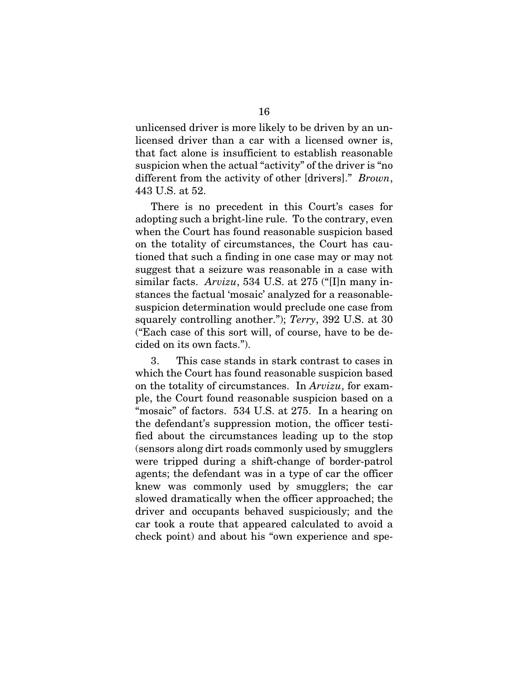unlicensed driver is more likely to be driven by an unlicensed driver than a car with a licensed owner is, that fact alone is insufficient to establish reasonable suspicion when the actual "activity" of the driver is "no different from the activity of other [drivers]." *Brown*, 443 U.S. at 52.

There is no precedent in this Court's cases for adopting such a bright-line rule. To the contrary, even when the Court has found reasonable suspicion based on the totality of circumstances, the Court has cautioned that such a finding in one case may or may not suggest that a seizure was reasonable in a case with similar facts. *Arvizu*, 534 U.S. at 275 ("[I]n many instances the factual 'mosaic' analyzed for a reasonablesuspicion determination would preclude one case from squarely controlling another."); *Terry*, 392 U.S. at 30 ("Each case of this sort will, of course, have to be decided on its own facts.").

3. This case stands in stark contrast to cases in which the Court has found reasonable suspicion based on the totality of circumstances. In *Arvizu*, for example, the Court found reasonable suspicion based on a "mosaic" of factors. 534 U.S. at 275. In a hearing on the defendant's suppression motion, the officer testified about the circumstances leading up to the stop (sensors along dirt roads commonly used by smugglers were tripped during a shift-change of border-patrol agents; the defendant was in a type of car the officer knew was commonly used by smugglers; the car slowed dramatically when the officer approached; the driver and occupants behaved suspiciously; and the car took a route that appeared calculated to avoid a check point) and about his "own experience and spe-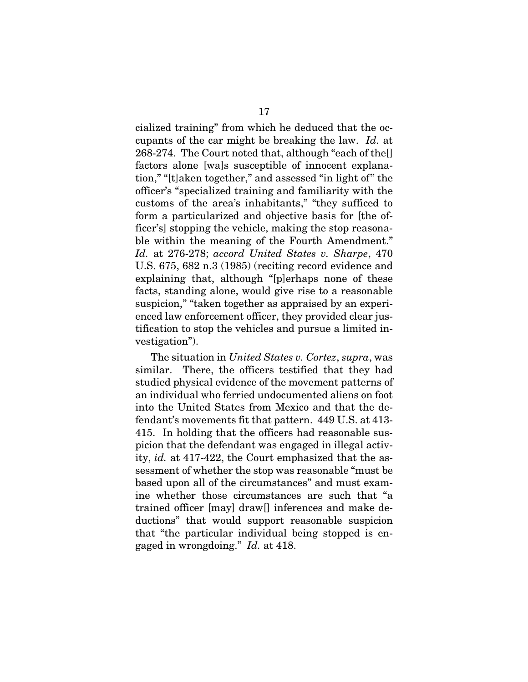cialized training" from which he deduced that the occupants of the car might be breaking the law. *Id.* at 268-274. The Court noted that, although "each of the[] factors alone [wa]s susceptible of innocent explanation," "[t]aken together," and assessed "in light of" the officer's "specialized training and familiarity with the customs of the area's inhabitants," "they sufficed to form a particularized and objective basis for [the officer's] stopping the vehicle, making the stop reasonable within the meaning of the Fourth Amendment." *Id.* at 276-278; *accord United States v. Sharpe*, 470 U.S. 675, 682 n.3 (1985) (reciting record evidence and explaining that, although "[p]erhaps none of these facts, standing alone, would give rise to a reasonable suspicion," "taken together as appraised by an experienced law enforcement officer, they provided clear justification to stop the vehicles and pursue a limited investigation").

The situation in *United States v. Cortez*, *supra*, was similar. There, the officers testified that they had studied physical evidence of the movement patterns of an individual who ferried undocumented aliens on foot into the United States from Mexico and that the defendant's movements fit that pattern. 449 U.S. at 413- 415. In holding that the officers had reasonable suspicion that the defendant was engaged in illegal activity, *id.* at 417-422, the Court emphasized that the assessment of whether the stop was reasonable "must be based upon all of the circumstances" and must examine whether those circumstances are such that "a trained officer [may] draw[] inferences and make deductions" that would support reasonable suspicion that "the particular individual being stopped is engaged in wrongdoing." *Id.* at 418.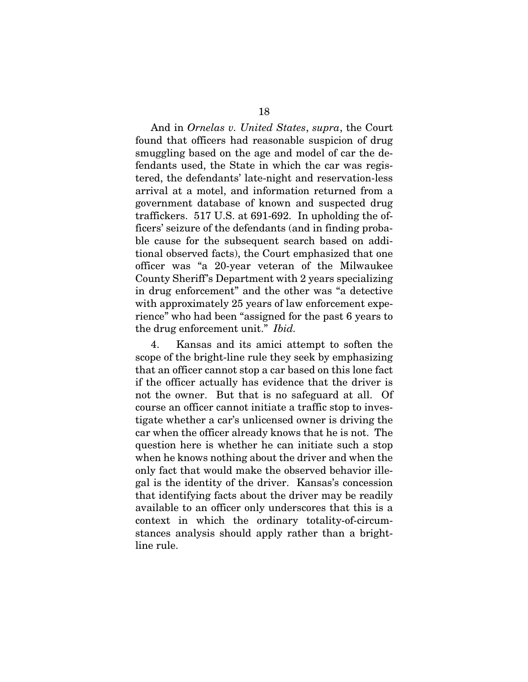And in *Ornelas v. United States*, *supra*, the Court found that officers had reasonable suspicion of drug smuggling based on the age and model of car the defendants used, the State in which the car was registered, the defendants' late-night and reservation-less arrival at a motel, and information returned from a government database of known and suspected drug traffickers. 517 U.S. at 691-692. In upholding the officers' seizure of the defendants (and in finding probable cause for the subsequent search based on additional observed facts), the Court emphasized that one officer was "a 20-year veteran of the Milwaukee County Sheriff's Department with 2 years specializing in drug enforcement" and the other was "a detective with approximately 25 years of law enforcement experience" who had been "assigned for the past 6 years to the drug enforcement unit." *Ibid.*

4. Kansas and its amici attempt to soften the scope of the bright-line rule they seek by emphasizing that an officer cannot stop a car based on this lone fact if the officer actually has evidence that the driver is not the owner. But that is no safeguard at all. Of course an officer cannot initiate a traffic stop to investigate whether a car's unlicensed owner is driving the car when the officer already knows that he is not. The question here is whether he can initiate such a stop when he knows nothing about the driver and when the only fact that would make the observed behavior illegal is the identity of the driver. Kansas's concession that identifying facts about the driver may be readily available to an officer only underscores that this is a context in which the ordinary totality-of-circumstances analysis should apply rather than a brightline rule.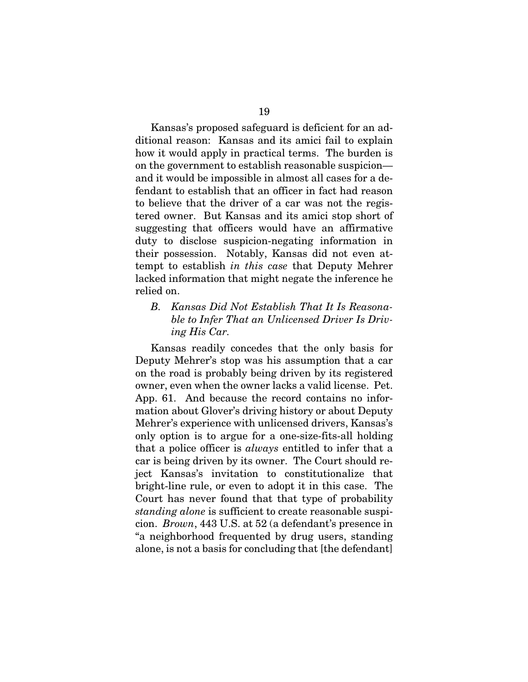Kansas's proposed safeguard is deficient for an additional reason: Kansas and its amici fail to explain how it would apply in practical terms. The burden is on the government to establish reasonable suspicion and it would be impossible in almost all cases for a defendant to establish that an officer in fact had reason to believe that the driver of a car was not the registered owner. But Kansas and its amici stop short of suggesting that officers would have an affirmative duty to disclose suspicion-negating information in their possession. Notably, Kansas did not even attempt to establish *in this case* that Deputy Mehrer lacked information that might negate the inference he relied on.

## *B. Kansas Did Not Establish That It Is Reasonable to Infer That an Unlicensed Driver Is Driving His Car.*

Kansas readily concedes that the only basis for Deputy Mehrer's stop was his assumption that a car on the road is probably being driven by its registered owner, even when the owner lacks a valid license. Pet. App. 61. And because the record contains no information about Glover's driving history or about Deputy Mehrer's experience with unlicensed drivers, Kansas's only option is to argue for a one-size-fits-all holding that a police officer is *always* entitled to infer that a car is being driven by its owner. The Court should reject Kansas's invitation to constitutionalize that bright-line rule, or even to adopt it in this case. The Court has never found that that type of probability *standing alone* is sufficient to create reasonable suspicion. *Brown*, 443 U.S. at 52 (a defendant's presence in "a neighborhood frequented by drug users, standing alone, is not a basis for concluding that [the defendant]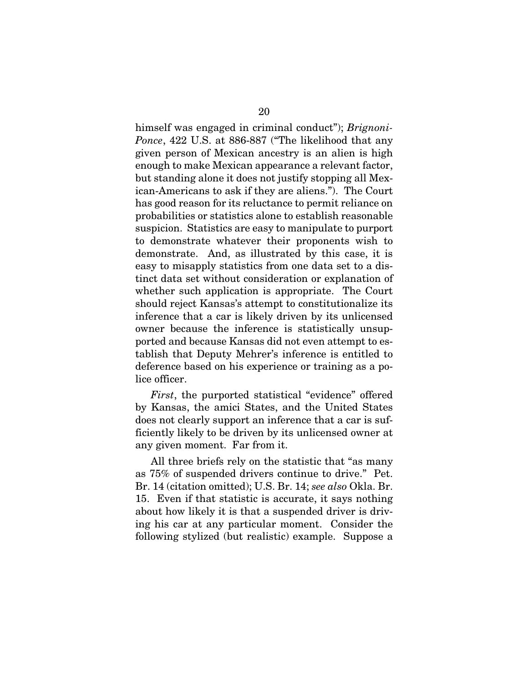himself was engaged in criminal conduct"); *Brignoni-Ponce*, 422 U.S. at 886-887 ("The likelihood that any given person of Mexican ancestry is an alien is high enough to make Mexican appearance a relevant factor, but standing alone it does not justify stopping all Mexican-Americans to ask if they are aliens."). The Court has good reason for its reluctance to permit reliance on probabilities or statistics alone to establish reasonable suspicion. Statistics are easy to manipulate to purport to demonstrate whatever their proponents wish to demonstrate. And, as illustrated by this case, it is easy to misapply statistics from one data set to a distinct data set without consideration or explanation of whether such application is appropriate. The Court should reject Kansas's attempt to constitutionalize its inference that a car is likely driven by its unlicensed owner because the inference is statistically unsupported and because Kansas did not even attempt to establish that Deputy Mehrer's inference is entitled to deference based on his experience or training as a police officer.

*First*, the purported statistical "evidence" offered by Kansas, the amici States, and the United States does not clearly support an inference that a car is sufficiently likely to be driven by its unlicensed owner at any given moment. Far from it.

All three briefs rely on the statistic that "as many as 75% of suspended drivers continue to drive." Pet. Br. 14 (citation omitted); U.S. Br. 14; *see also* Okla. Br. 15. Even if that statistic is accurate, it says nothing about how likely it is that a suspended driver is driving his car at any particular moment. Consider the following stylized (but realistic) example. Suppose a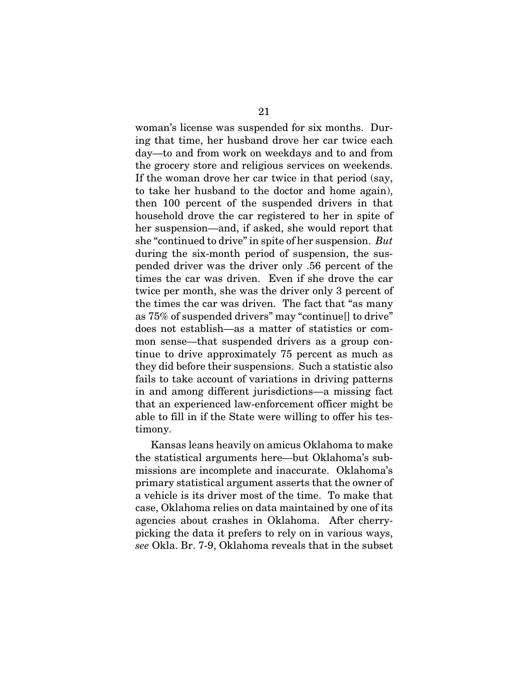woman's license was suspended for six months. During that time, her husband drove her car twice each day—to and from work on weekdays and to and from the grocery store and religious services on weekends. If the woman drove her car twice in that period (say, to take her husband to the doctor and home again), then 100 percent of the suspended drivers in that household drove the car registered to her in spite of her suspension—and, if asked, she would report that she "continued to drive" in spite of her suspension. *But* during the six-month period of suspension, the suspended driver was the driver only .56 percent of the times the car was driven. Even if she drove the car twice per month, she was the driver only 3 percent of the times the car was driven. The fact that "as many as 75% of suspended drivers" may "continue[] to drive" does not establish—as a matter of statistics or common sense—that suspended drivers as a group continue to drive approximately 75 percent as much as they did before their suspensions. Such a statistic also fails to take account of variations in driving patterns in and among different jurisdictions—a missing fact that an experienced law-enforcement officer might be able to fill in if the State were willing to offer his testimony.

Kansas leans heavily on amicus Oklahoma to make the statistical arguments here—but Oklahoma's submissions are incomplete and inaccurate. Oklahoma's primary statistical argument asserts that the owner of a vehicle is its driver most of the time. To make that case, Oklahoma relies on data maintained by one of its agencies about crashes in Oklahoma. After cherrypicking the data it prefers to rely on in various ways, *see* Okla. Br. 7-9, Oklahoma reveals that in the subset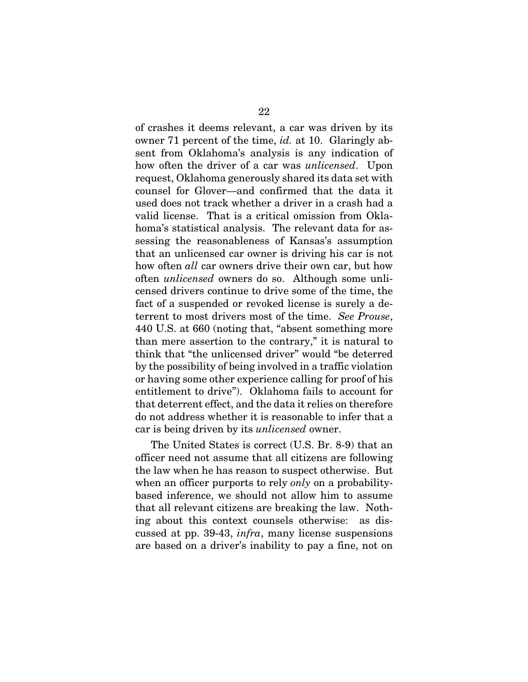of crashes it deems relevant, a car was driven by its owner 71 percent of the time, *id.* at 10. Glaringly absent from Oklahoma's analysis is any indication of how often the driver of a car was *unlicensed*. Upon request, Oklahoma generously shared its data set with counsel for Glover—and confirmed that the data it used does not track whether a driver in a crash had a valid license. That is a critical omission from Oklahoma's statistical analysis. The relevant data for assessing the reasonableness of Kansas's assumption that an unlicensed car owner is driving his car is not how often *all* car owners drive their own car, but how often *unlicensed* owners do so. Although some unlicensed drivers continue to drive some of the time, the fact of a suspended or revoked license is surely a deterrent to most drivers most of the time. *See Prouse*, 440 U.S. at 660 (noting that, "absent something more than mere assertion to the contrary," it is natural to think that "the unlicensed driver" would "be deterred by the possibility of being involved in a traffic violation or having some other experience calling for proof of his entitlement to drive"). Oklahoma fails to account for that deterrent effect, and the data it relies on therefore do not address whether it is reasonable to infer that a car is being driven by its *unlicensed* owner.

The United States is correct (U.S. Br. 8-9) that an officer need not assume that all citizens are following the law when he has reason to suspect otherwise. But when an officer purports to rely *only* on a probabilitybased inference, we should not allow him to assume that all relevant citizens are breaking the law. Nothing about this context counsels otherwise: as discussed at pp. 39-43, *infra*, many license suspensions are based on a driver's inability to pay a fine, not on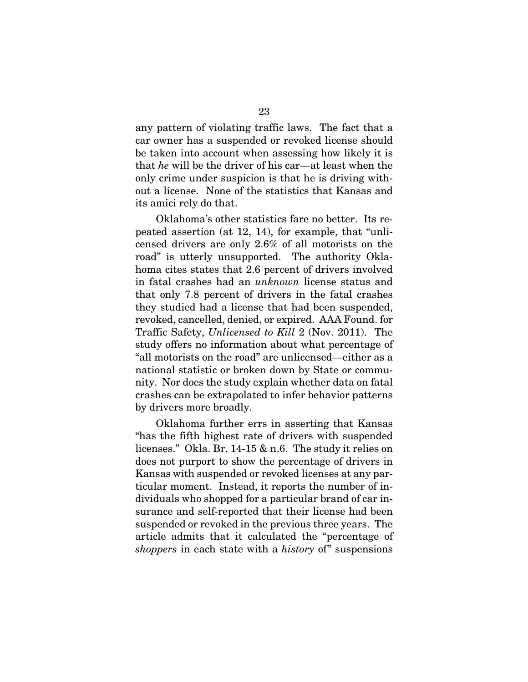any pattern of violating traffic laws. The fact that a car owner has a suspended or revoked license should be taken into account when assessing how likely it is that *he* will be the driver of his car—at least when the only crime under suspicion is that he is driving without a license. None of the statistics that Kansas and its amici rely do that.

Oklahoma's other statistics fare no better. Its repeated assertion (at 12, 14), for example, that "unlicensed drivers are only 2.6% of all motorists on the road" is utterly unsupported. The authority Oklahoma cites states that 2.6 percent of drivers involved in fatal crashes had an *unknown* license status and that only 7.8 percent of drivers in the fatal crashes they studied had a license that had been suspended, revoked, cancelled, denied, or expired. AAA Found. for Traffic Safety, *Unlicensed to Kill* 2 (Nov. 2011). The study offers no information about what percentage of "all motorists on the road" are unlicensed—either as a national statistic or broken down by State or community. Nor does the study explain whether data on fatal crashes can be extrapolated to infer behavior patterns by drivers more broadly.

Oklahoma further errs in asserting that Kansas "has the fifth highest rate of drivers with suspended licenses." Okla. Br. 14-15 & n.6. The study it relies on does not purport to show the percentage of drivers in Kansas with suspended or revoked licenses at any particular moment. Instead, it reports the number of individuals who shopped for a particular brand of car insurance and self-reported that their license had been suspended or revoked in the previous three years. The article admits that it calculated the "percentage of *shoppers* in each state with a *history* of" suspensions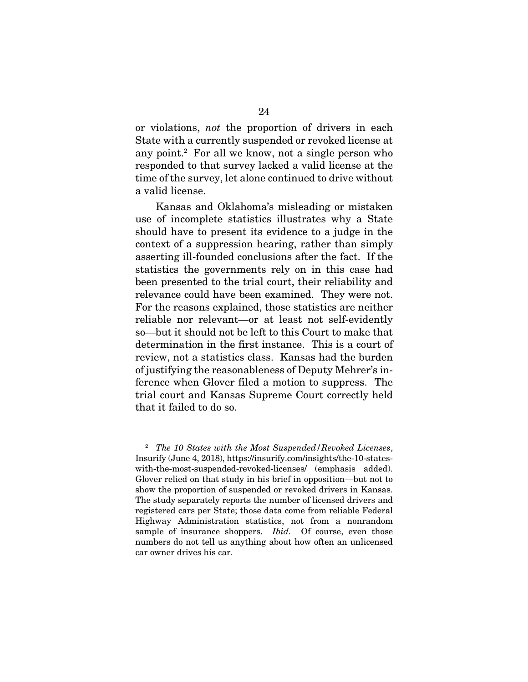or violations, *not* the proportion of drivers in each State with a currently suspended or revoked license at any point.<sup>2</sup> For all we know, not a single person who responded to that survey lacked a valid license at the time of the survey, let alone continued to drive without a valid license.

Kansas and Oklahoma's misleading or mistaken use of incomplete statistics illustrates why a State should have to present its evidence to a judge in the context of a suppression hearing, rather than simply asserting ill-founded conclusions after the fact. If the statistics the governments rely on in this case had been presented to the trial court, their reliability and relevance could have been examined. They were not. For the reasons explained, those statistics are neither reliable nor relevant—or at least not self-evidently so—but it should not be left to this Court to make that determination in the first instance. This is a court of review, not a statistics class. Kansas had the burden of justifying the reasonableness of Deputy Mehrer's inference when Glover filed a motion to suppress. The trial court and Kansas Supreme Court correctly held that it failed to do so.

<sup>2</sup> *The 10 States with the Most Suspended/Revoked Licenses*, Insurify (June 4, 2018), https://insurify.com/insights/the-10-stateswith-the-most-suspended-revoked-licenses/ (emphasis added). Glover relied on that study in his brief in opposition—but not to show the proportion of suspended or revoked drivers in Kansas. The study separately reports the number of licensed drivers and registered cars per State; those data come from reliable Federal Highway Administration statistics, not from a nonrandom sample of insurance shoppers. *Ibid.* Of course, even those numbers do not tell us anything about how often an unlicensed car owner drives his car.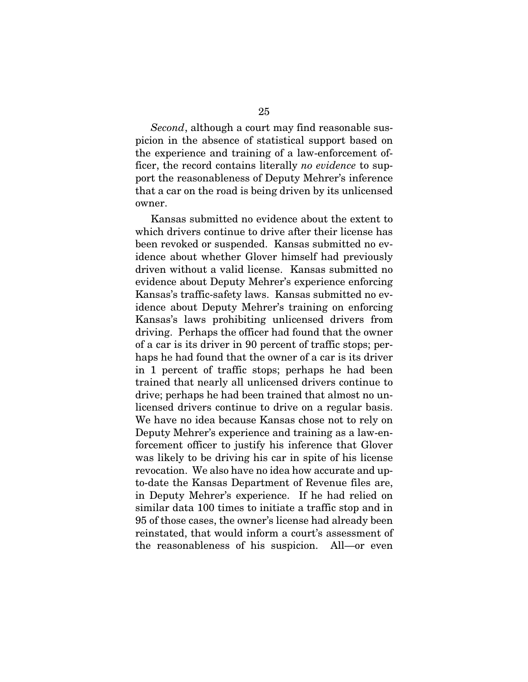*Second*, although a court may find reasonable suspicion in the absence of statistical support based on the experience and training of a law-enforcement officer, the record contains literally *no evidence* to support the reasonableness of Deputy Mehrer's inference that a car on the road is being driven by its unlicensed owner.

Kansas submitted no evidence about the extent to which drivers continue to drive after their license has been revoked or suspended. Kansas submitted no evidence about whether Glover himself had previously driven without a valid license. Kansas submitted no evidence about Deputy Mehrer's experience enforcing Kansas's traffic-safety laws. Kansas submitted no evidence about Deputy Mehrer's training on enforcing Kansas's laws prohibiting unlicensed drivers from driving. Perhaps the officer had found that the owner of a car is its driver in 90 percent of traffic stops; perhaps he had found that the owner of a car is its driver in 1 percent of traffic stops; perhaps he had been trained that nearly all unlicensed drivers continue to drive; perhaps he had been trained that almost no unlicensed drivers continue to drive on a regular basis. We have no idea because Kansas chose not to rely on Deputy Mehrer's experience and training as a law-enforcement officer to justify his inference that Glover was likely to be driving his car in spite of his license revocation. We also have no idea how accurate and upto-date the Kansas Department of Revenue files are, in Deputy Mehrer's experience. If he had relied on similar data 100 times to initiate a traffic stop and in 95 of those cases, the owner's license had already been reinstated, that would inform a court's assessment of the reasonableness of his suspicion. All—or even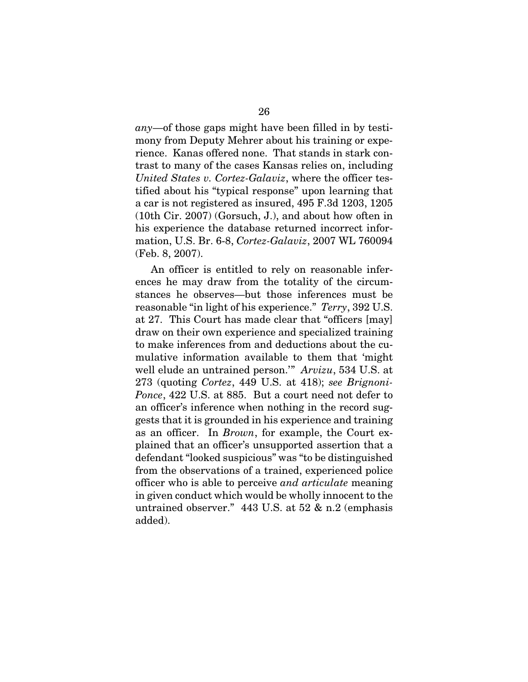*any*—of those gaps might have been filled in by testimony from Deputy Mehrer about his training or experience. Kanas offered none. That stands in stark contrast to many of the cases Kansas relies on, including *United States v. Cortez-Galaviz*, where the officer testified about his "typical response" upon learning that a car is not registered as insured, 495 F.3d 1203, 1205 (10th Cir. 2007) (Gorsuch, J.), and about how often in his experience the database returned incorrect information, U.S. Br. 6-8, *Cortez-Galaviz*, 2007 WL 760094 (Feb. 8, 2007).

An officer is entitled to rely on reasonable inferences he may draw from the totality of the circumstances he observes—but those inferences must be reasonable "in light of his experience." *Terry*, 392 U.S. at 27. This Court has made clear that "officers [may] draw on their own experience and specialized training to make inferences from and deductions about the cumulative information available to them that 'might well elude an untrained person.'" *Arvizu*, 534 U.S. at 273 (quoting *Cortez*, 449 U.S. at 418); *see Brignoni-Ponce*, 422 U.S. at 885. But a court need not defer to an officer's inference when nothing in the record suggests that it is grounded in his experience and training as an officer. In *Brown*, for example, the Court explained that an officer's unsupported assertion that a defendant "looked suspicious" was "to be distinguished from the observations of a trained, experienced police officer who is able to perceive *and articulate* meaning in given conduct which would be wholly innocent to the untrained observer." 443 U.S. at 52 & n.2 (emphasis added).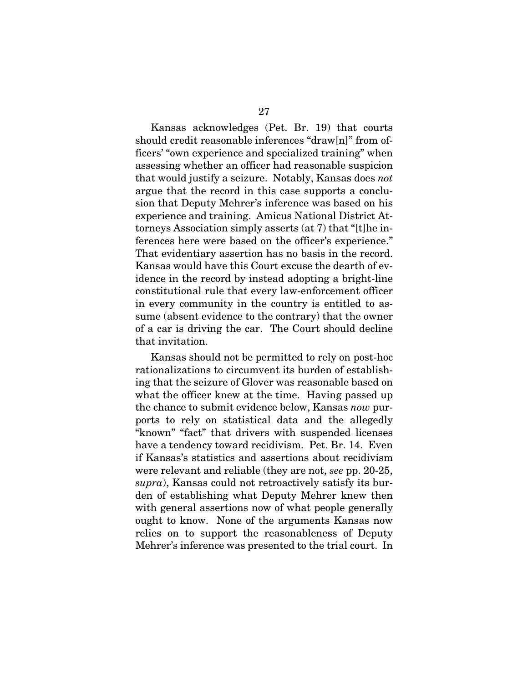Kansas acknowledges (Pet. Br. 19) that courts should credit reasonable inferences "draw[n]" from officers' "own experience and specialized training" when assessing whether an officer had reasonable suspicion that would justify a seizure. Notably, Kansas does *not* argue that the record in this case supports a conclusion that Deputy Mehrer's inference was based on his experience and training. Amicus National District Attorneys Association simply asserts (at 7) that "[t]he inferences here were based on the officer's experience." That evidentiary assertion has no basis in the record. Kansas would have this Court excuse the dearth of evidence in the record by instead adopting a bright-line constitutional rule that every law-enforcement officer in every community in the country is entitled to assume (absent evidence to the contrary) that the owner of a car is driving the car. The Court should decline that invitation.

Kansas should not be permitted to rely on post-hoc rationalizations to circumvent its burden of establishing that the seizure of Glover was reasonable based on what the officer knew at the time. Having passed up the chance to submit evidence below, Kansas *now* purports to rely on statistical data and the allegedly "known" "fact" that drivers with suspended licenses have a tendency toward recidivism. Pet. Br. 14. Even if Kansas's statistics and assertions about recidivism were relevant and reliable (they are not, *see* pp. 20-25, *supra*), Kansas could not retroactively satisfy its burden of establishing what Deputy Mehrer knew then with general assertions now of what people generally ought to know. None of the arguments Kansas now relies on to support the reasonableness of Deputy Mehrer's inference was presented to the trial court. In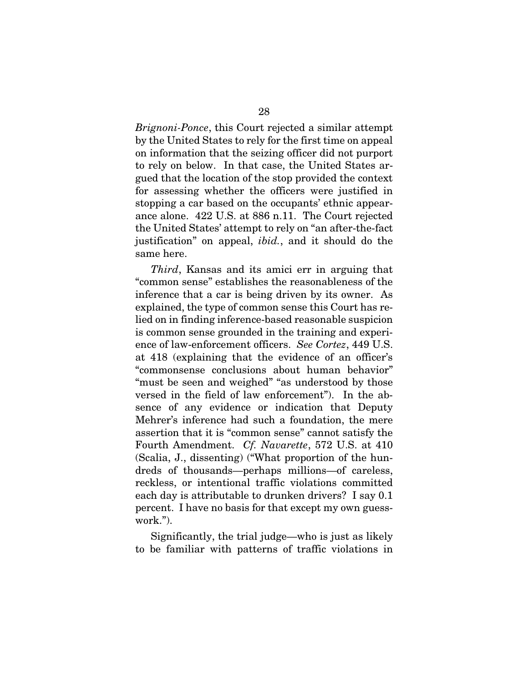*Brignoni-Ponce*, this Court rejected a similar attempt by the United States to rely for the first time on appeal on information that the seizing officer did not purport to rely on below. In that case, the United States argued that the location of the stop provided the context for assessing whether the officers were justified in stopping a car based on the occupants' ethnic appearance alone. 422 U.S. at 886 n.11. The Court rejected the United States' attempt to rely on "an after-the-fact justification" on appeal, *ibid.*, and it should do the same here.

*Third*, Kansas and its amici err in arguing that "common sense" establishes the reasonableness of the inference that a car is being driven by its owner. As explained, the type of common sense this Court has relied on in finding inference-based reasonable suspicion is common sense grounded in the training and experience of law-enforcement officers. *See Cortez*, 449 U.S. at 418 (explaining that the evidence of an officer's "commonsense conclusions about human behavior" "must be seen and weighed" "as understood by those versed in the field of law enforcement"). In the absence of any evidence or indication that Deputy Mehrer's inference had such a foundation, the mere assertion that it is "common sense" cannot satisfy the Fourth Amendment. *Cf. Navarette*, 572 U.S. at 410 (Scalia, J., dissenting) ("What proportion of the hundreds of thousands—perhaps millions—of careless, reckless, or intentional traffic violations committed each day is attributable to drunken drivers? I say 0.1 percent. I have no basis for that except my own guesswork.").

Significantly, the trial judge—who is just as likely to be familiar with patterns of traffic violations in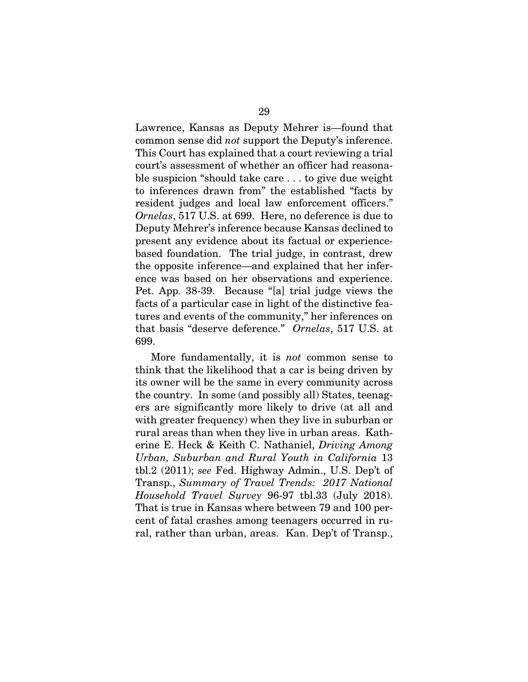Lawrence, Kansas as Deputy Mehrer is—found that common sense did *not* support the Deputy's inference. This Court has explained that a court reviewing a trial court's assessment of whether an officer had reasonable suspicion "should take care . . . to give due weight to inferences drawn from" the established "facts by resident judges and local law enforcement officers." *Ornelas*, 517 U.S. at 699. Here, no deference is due to Deputy Mehrer's inference because Kansas declined to present any evidence about its factual or experiencebased foundation. The trial judge, in contrast, drew the opposite inference—and explained that her inference was based on her observations and experience. Pet. App. 38-39. Because "[a] trial judge views the facts of a particular case in light of the distinctive features and events of the community," her inferences on that basis "deserve deference." *Ornelas*, 517 U.S. at 699.

More fundamentally, it is *not* common sense to think that the likelihood that a car is being driven by its owner will be the same in every community across the country. In some (and possibly all) States, teenagers are significantly more likely to drive (at all and with greater frequency) when they live in suburban or rural areas than when they live in urban areas. Katherine E. Heck & Keith C. Nathaniel, *Driving Among Urban, Suburban and Rural Youth in California* 13 tbl.2 (2011); *see* Fed. Highway Admin., U.S. Dep't of Transp., *Summary of Travel Trends: 2017 National Household Travel Survey* 96-97 tbl.33 (July 2018). That is true in Kansas where between 79 and 100 percent of fatal crashes among teenagers occurred in rural, rather than urban, areas. Kan. Dep't of Transp.,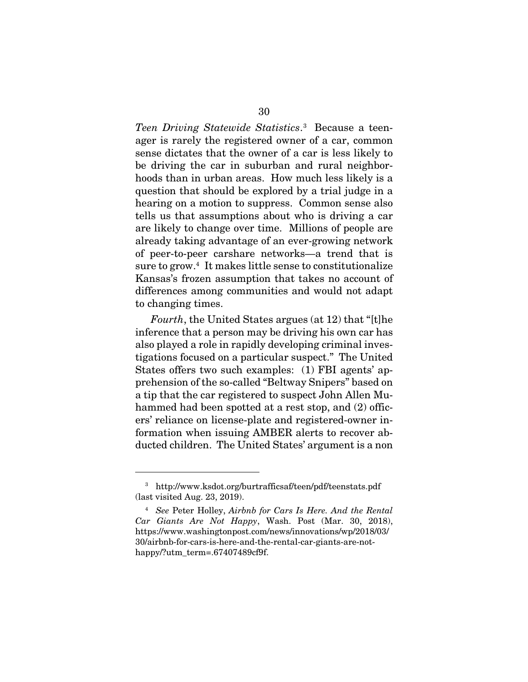*Teen Driving Statewide Statistics*. 3 Because a teenager is rarely the registered owner of a car, common sense dictates that the owner of a car is less likely to be driving the car in suburban and rural neighborhoods than in urban areas. How much less likely is a question that should be explored by a trial judge in a hearing on a motion to suppress. Common sense also tells us that assumptions about who is driving a car are likely to change over time. Millions of people are already taking advantage of an ever-growing network of peer-to-peer carshare networks—a trend that is sure to grow.<sup>4</sup> It makes little sense to constitutionalize Kansas's frozen assumption that takes no account of differences among communities and would not adapt to changing times.

*Fourth*, the United States argues (at 12) that "[t]he inference that a person may be driving his own car has also played a role in rapidly developing criminal investigations focused on a particular suspect." The United States offers two such examples: (1) FBI agents' apprehension of the so-called "Beltway Snipers" based on a tip that the car registered to suspect John Allen Muhammed had been spotted at a rest stop, and (2) officers' reliance on license-plate and registered-owner information when issuing AMBER alerts to recover abducted children. The United States' argument is a non

<sup>3</sup> http://www.ksdot.org/burtrafficsaf/teen/pdf/teenstats.pdf (last visited Aug. 23, 2019).

<sup>4</sup> *See* Peter Holley, *Airbnb for Cars Is Here. And the Rental Car Giants Are Not Happy*, Wash. Post (Mar. 30, 2018), https://www.washingtonpost.com/news/innovations/wp/2018/03/ 30/airbnb-for-cars-is-here-and-the-rental-car-giants-are-nothappy/?utm\_term=.67407489cf9f.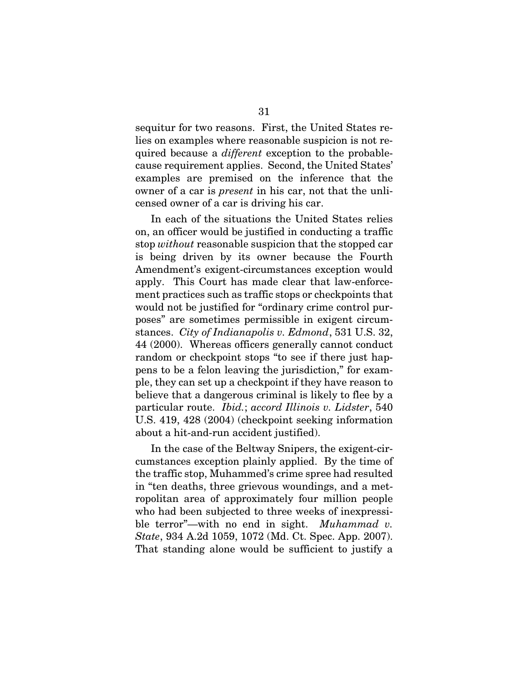sequitur for two reasons. First, the United States relies on examples where reasonable suspicion is not required because a *different* exception to the probablecause requirement applies. Second, the United States' examples are premised on the inference that the owner of a car is *present* in his car, not that the unlicensed owner of a car is driving his car.

In each of the situations the United States relies on, an officer would be justified in conducting a traffic stop *without* reasonable suspicion that the stopped car is being driven by its owner because the Fourth Amendment's exigent-circumstances exception would apply. This Court has made clear that law-enforcement practices such as traffic stops or checkpoints that would not be justified for "ordinary crime control purposes" are sometimes permissible in exigent circumstances. *City of Indianapolis v. Edmond*, 531 U.S. 32, 44 (2000). Whereas officers generally cannot conduct random or checkpoint stops "to see if there just happens to be a felon leaving the jurisdiction," for example, they can set up a checkpoint if they have reason to believe that a dangerous criminal is likely to flee by a particular route. *Ibid.*; *accord Illinois v. Lidster*, 540 U.S. 419, 428 (2004) (checkpoint seeking information about a hit-and-run accident justified).

In the case of the Beltway Snipers, the exigent-circumstances exception plainly applied. By the time of the traffic stop, Muhammed's crime spree had resulted in "ten deaths, three grievous woundings, and a metropolitan area of approximately four million people who had been subjected to three weeks of inexpressible terror"—with no end in sight. *Muhammad v. State*, 934 A.2d 1059, 1072 (Md. Ct. Spec. App. 2007). That standing alone would be sufficient to justify a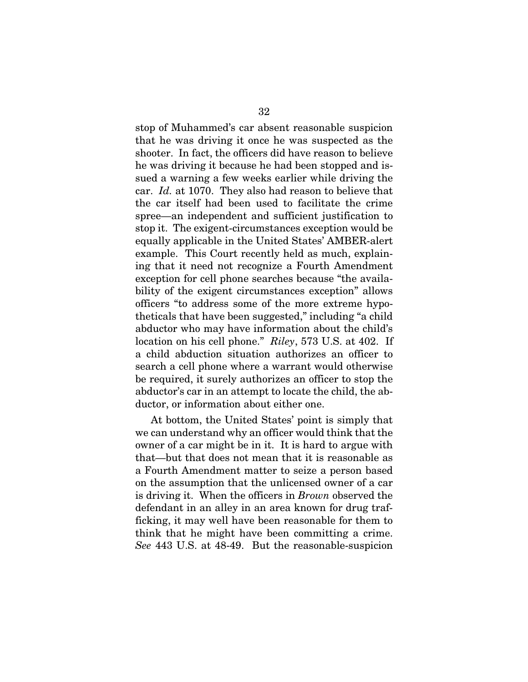stop of Muhammed's car absent reasonable suspicion that he was driving it once he was suspected as the shooter. In fact, the officers did have reason to believe he was driving it because he had been stopped and issued a warning a few weeks earlier while driving the car. *Id.* at 1070. They also had reason to believe that the car itself had been used to facilitate the crime spree—an independent and sufficient justification to stop it. The exigent-circumstances exception would be equally applicable in the United States' AMBER-alert example. This Court recently held as much, explaining that it need not recognize a Fourth Amendment exception for cell phone searches because "the availability of the exigent circumstances exception" allows officers "to address some of the more extreme hypotheticals that have been suggested," including "a child abductor who may have information about the child's location on his cell phone." *Riley*, 573 U.S. at 402. If a child abduction situation authorizes an officer to search a cell phone where a warrant would otherwise be required, it surely authorizes an officer to stop the abductor's car in an attempt to locate the child, the abductor, or information about either one.

At bottom, the United States' point is simply that we can understand why an officer would think that the owner of a car might be in it. It is hard to argue with that—but that does not mean that it is reasonable as a Fourth Amendment matter to seize a person based on the assumption that the unlicensed owner of a car is driving it. When the officers in *Brown* observed the defendant in an alley in an area known for drug trafficking, it may well have been reasonable for them to think that he might have been committing a crime. *See* 443 U.S. at 48-49. But the reasonable-suspicion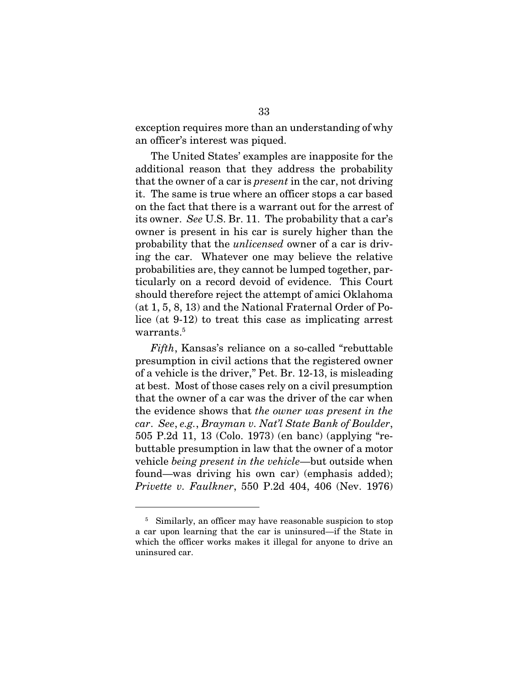exception requires more than an understanding of why an officer's interest was piqued.

The United States' examples are inapposite for the additional reason that they address the probability that the owner of a car is *present* in the car, not driving it. The same is true where an officer stops a car based on the fact that there is a warrant out for the arrest of its owner. *See* U.S. Br. 11. The probability that a car's owner is present in his car is surely higher than the probability that the *unlicensed* owner of a car is driving the car. Whatever one may believe the relative probabilities are, they cannot be lumped together, particularly on a record devoid of evidence. This Court should therefore reject the attempt of amici Oklahoma (at 1, 5, 8, 13) and the National Fraternal Order of Police (at 9-12) to treat this case as implicating arrest warrants.<sup>5</sup>

*Fifth*, Kansas's reliance on a so-called "rebuttable presumption in civil actions that the registered owner of a vehicle is the driver," Pet. Br. 12-13, is misleading at best. Most of those cases rely on a civil presumption that the owner of a car was the driver of the car when the evidence shows that *the owner was present in the car*. *See*, *e.g.*, *Brayman v. Nat'l State Bank of Boulder*, 505 P.2d 11, 13 (Colo. 1973) (en banc) (applying "rebuttable presumption in law that the owner of a motor vehicle *being present in the vehicle*—but outside when found—was driving his own car) (emphasis added); *Privette v. Faulkner*, 550 P.2d 404, 406 (Nev. 1976)

<sup>&</sup>lt;sup>5</sup> Similarly, an officer may have reasonable suspicion to stop a car upon learning that the car is uninsured—if the State in which the officer works makes it illegal for anyone to drive an uninsured car.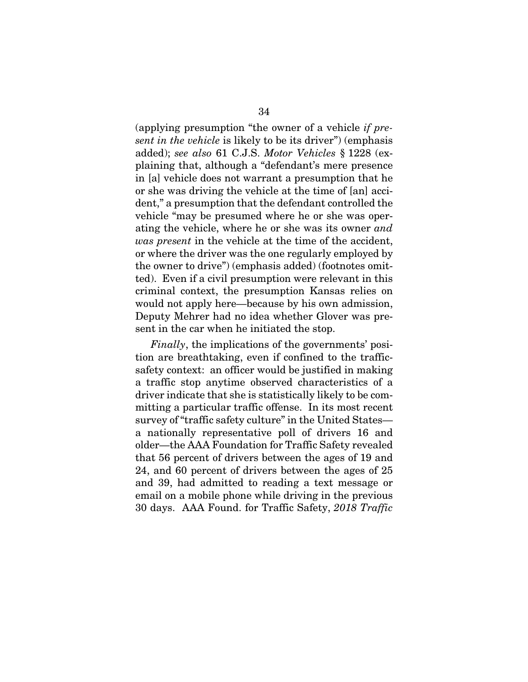(applying presumption "the owner of a vehicle *if present in the vehicle* is likely to be its driver") (emphasis added); *see also* 61 C.J.S. *Motor Vehicles* § 1228 (explaining that, although a "defendant's mere presence in [a] vehicle does not warrant a presumption that he or she was driving the vehicle at the time of [an] accident," a presumption that the defendant controlled the vehicle "may be presumed where he or she was operating the vehicle, where he or she was its owner *and was present* in the vehicle at the time of the accident, or where the driver was the one regularly employed by the owner to drive") (emphasis added) (footnotes omitted). Even if a civil presumption were relevant in this criminal context, the presumption Kansas relies on would not apply here—because by his own admission, Deputy Mehrer had no idea whether Glover was present in the car when he initiated the stop.

*Finally*, the implications of the governments' position are breathtaking, even if confined to the trafficsafety context: an officer would be justified in making a traffic stop anytime observed characteristics of a driver indicate that she is statistically likely to be committing a particular traffic offense. In its most recent survey of "traffic safety culture" in the United States a nationally representative poll of drivers 16 and older—the AAA Foundation for Traffic Safety revealed that 56 percent of drivers between the ages of 19 and 24, and 60 percent of drivers between the ages of 25 and 39, had admitted to reading a text message or email on a mobile phone while driving in the previous 30 days. AAA Found. for Traffic Safety, *2018 Traffic*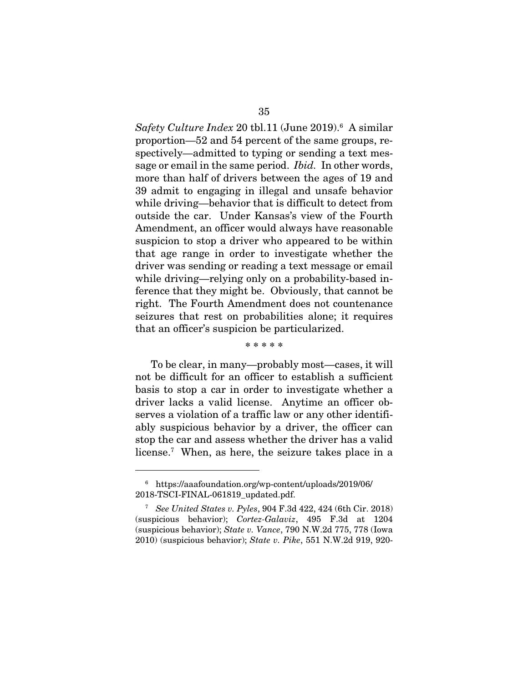*Safety Culture Index* 20 tbl.11 (June 2019).6 A similar proportion—52 and 54 percent of the same groups, respectively—admitted to typing or sending a text message or email in the same period. *Ibid.* In other words, more than half of drivers between the ages of 19 and 39 admit to engaging in illegal and unsafe behavior while driving—behavior that is difficult to detect from outside the car. Under Kansas's view of the Fourth Amendment, an officer would always have reasonable suspicion to stop a driver who appeared to be within that age range in order to investigate whether the driver was sending or reading a text message or email while driving—relying only on a probability-based inference that they might be. Obviously, that cannot be right. The Fourth Amendment does not countenance seizures that rest on probabilities alone; it requires that an officer's suspicion be particularized.

\* \* \* \* \*

To be clear, in many—probably most—cases, it will not be difficult for an officer to establish a sufficient basis to stop a car in order to investigate whether a driver lacks a valid license. Anytime an officer observes a violation of a traffic law or any other identifiably suspicious behavior by a driver, the officer can stop the car and assess whether the driver has a valid license.7 When, as here, the seizure takes place in a

<sup>6</sup> https://aaafoundation.org/wp-content/uploads/2019/06/ 2018-TSCI-FINAL-061819\_updated.pdf.

<sup>7</sup> *See United States v. Pyles*, 904 F.3d 422, 424 (6th Cir. 2018) (suspicious behavior); *Cortez-Galaviz*, 495 F.3d at 1204 (suspicious behavior); *State v. Vance*, 790 N.W.2d 775, 778 (Iowa 2010) (suspicious behavior); *State v. Pike*, 551 N.W.2d 919, 920-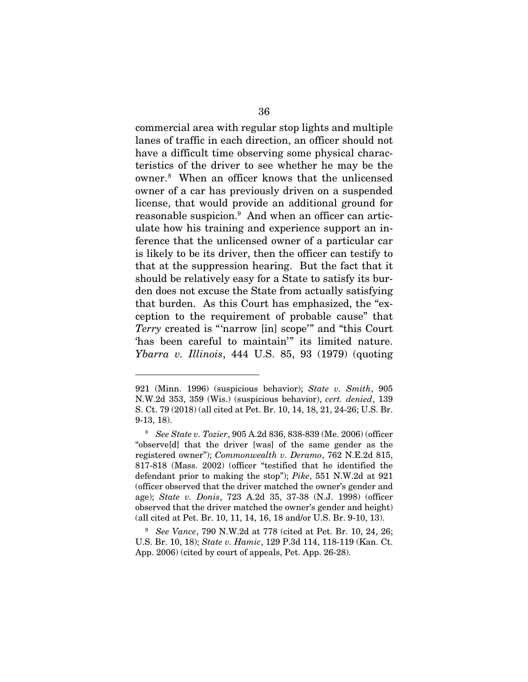commercial area with regular stop lights and multiple lanes of traffic in each direction, an officer should not have a difficult time observing some physical characteristics of the driver to see whether he may be the owner.8 When an officer knows that the unlicensed owner of a car has previously driven on a suspended license, that would provide an additional ground for reasonable suspicion.<sup>9</sup> And when an officer can articulate how his training and experience support an inference that the unlicensed owner of a particular car is likely to be its driver, then the officer can testify to that at the suppression hearing. But the fact that it should be relatively easy for a State to satisfy its burden does not excuse the State from actually satisfying that burden. As this Court has emphasized, the "exception to the requirement of probable cause" that *Terry* created is "'narrow [in] scope'" and "this Court 'has been careful to maintain'" its limited nature. *Ybarra v. Illinois*, 444 U.S. 85, 93 (1979) (quoting

<sup>921 (</sup>Minn. 1996) (suspicious behavior); *State v. Smith*, 905 N.W.2d 353, 359 (Wis.) (suspicious behavior), *cert. denied*, 139 S. Ct. 79 (2018) (all cited at Pet. Br. 10, 14, 18, 21, 24-26; U.S. Br. 9-13, 18).

<sup>8</sup> *See State v. Tozier*, 905 A.2d 836, 838-839 (Me. 2006) (officer "observe[d] that the driver [was] of the same gender as the registered owner"); *Commonwealth v. Deramo*, 762 N.E.2d 815, 817-818 (Mass. 2002) (officer "testified that he identified the defendant prior to making the stop"); *Pike*, 551 N.W.2d at 921 (officer observed that the driver matched the owner's gender and age); *State v. Donis*, 723 A.2d 35, 37-38 (N.J. 1998) (officer observed that the driver matched the owner's gender and height) (all cited at Pet. Br. 10, 11, 14, 16, 18 and/or U.S. Br. 9-10, 13).

<sup>9</sup> *See Vance*, 790 N.W.2d at 778 (cited at Pet. Br. 10, 24, 26; U.S. Br. 10, 18); *State v. Hamic*, 129 P.3d 114, 118-119 (Kan. Ct. App. 2006) (cited by court of appeals, Pet. App. 26-28).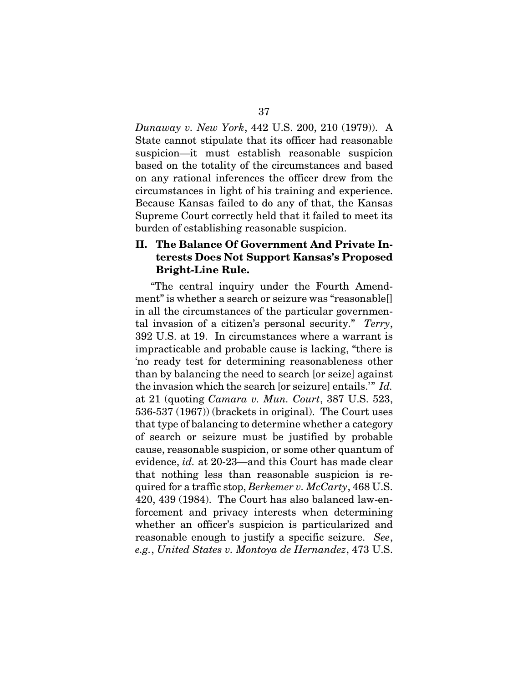*Dunaway v. New York*, 442 U.S. 200, 210 (1979)). A State cannot stipulate that its officer had reasonable suspicion—it must establish reasonable suspicion based on the totality of the circumstances and based on any rational inferences the officer drew from the circumstances in light of his training and experience. Because Kansas failed to do any of that, the Kansas Supreme Court correctly held that it failed to meet its burden of establishing reasonable suspicion.

# II. The Balance Of Government And Private Interests Does Not Support Kansas's Proposed Bright-Line Rule.

"The central inquiry under the Fourth Amendment" is whether a search or seizure was "reasonable[] in all the circumstances of the particular governmental invasion of a citizen's personal security." *Terry*, 392 U.S. at 19. In circumstances where a warrant is impracticable and probable cause is lacking, "there is 'no ready test for determining reasonableness other than by balancing the need to search [or seize] against the invasion which the search [or seizure] entails.'" *Id.* at 21 (quoting *Camara v. Mun. Court*, 387 U.S. 523, 536-537 (1967)) (brackets in original). The Court uses that type of balancing to determine whether a category of search or seizure must be justified by probable cause, reasonable suspicion, or some other quantum of evidence, *id.* at 20-23—and this Court has made clear that nothing less than reasonable suspicion is required for a traffic stop, *Berkemer v. McCarty*, 468 U.S. 420, 439 (1984). The Court has also balanced law-enforcement and privacy interests when determining whether an officer's suspicion is particularized and reasonable enough to justify a specific seizure. *See*, *e.g.*, *United States v. Montoya de Hernandez*, 473 U.S.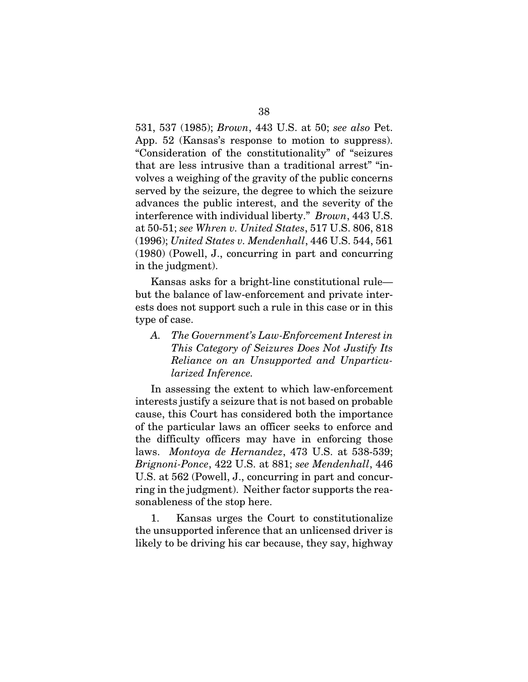531, 537 (1985); *Brown*, 443 U.S. at 50; *see also* Pet. App. 52 (Kansas's response to motion to suppress). "Consideration of the constitutionality" of "seizures that are less intrusive than a traditional arrest" "involves a weighing of the gravity of the public concerns served by the seizure, the degree to which the seizure advances the public interest, and the severity of the interference with individual liberty." *Brown*, 443 U.S. at 50-51; *see Whren v. United States*, 517 U.S. 806, 818 (1996); *United States v. Mendenhall*, 446 U.S. 544, 561 (1980) (Powell, J., concurring in part and concurring in the judgment).

Kansas asks for a bright-line constitutional rule but the balance of law-enforcement and private interests does not support such a rule in this case or in this type of case.

*A. The Government's Law-Enforcement Interest in This Category of Seizures Does Not Justify Its Reliance on an Unsupported and Unparticularized Inference.* 

In assessing the extent to which law-enforcement interests justify a seizure that is not based on probable cause, this Court has considered both the importance of the particular laws an officer seeks to enforce and the difficulty officers may have in enforcing those laws. *Montoya de Hernandez*, 473 U.S. at 538-539; *Brignoni-Ponce*, 422 U.S. at 881; *see Mendenhall*, 446 U.S. at 562 (Powell, J., concurring in part and concurring in the judgment). Neither factor supports the reasonableness of the stop here.

1. Kansas urges the Court to constitutionalize the unsupported inference that an unlicensed driver is likely to be driving his car because, they say, highway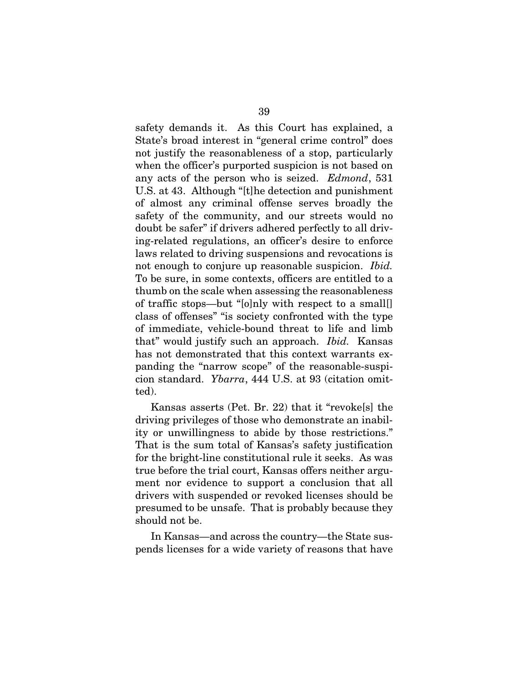safety demands it. As this Court has explained, a State's broad interest in "general crime control" does not justify the reasonableness of a stop, particularly when the officer's purported suspicion is not based on any acts of the person who is seized. *Edmond*, 531 U.S. at 43. Although "[t]he detection and punishment of almost any criminal offense serves broadly the safety of the community, and our streets would no doubt be safer" if drivers adhered perfectly to all driving-related regulations, an officer's desire to enforce laws related to driving suspensions and revocations is not enough to conjure up reasonable suspicion. *Ibid.* To be sure, in some contexts, officers are entitled to a thumb on the scale when assessing the reasonableness of traffic stops—but "[o]nly with respect to a small[] class of offenses" "is society confronted with the type of immediate, vehicle-bound threat to life and limb that" would justify such an approach. *Ibid.* Kansas has not demonstrated that this context warrants expanding the "narrow scope" of the reasonable-suspicion standard. *Ybarra*, 444 U.S. at 93 (citation omitted).

Kansas asserts (Pet. Br. 22) that it "revoke[s] the driving privileges of those who demonstrate an inability or unwillingness to abide by those restrictions." That is the sum total of Kansas's safety justification for the bright-line constitutional rule it seeks. As was true before the trial court, Kansas offers neither argument nor evidence to support a conclusion that all drivers with suspended or revoked licenses should be presumed to be unsafe. That is probably because they should not be.

In Kansas—and across the country—the State suspends licenses for a wide variety of reasons that have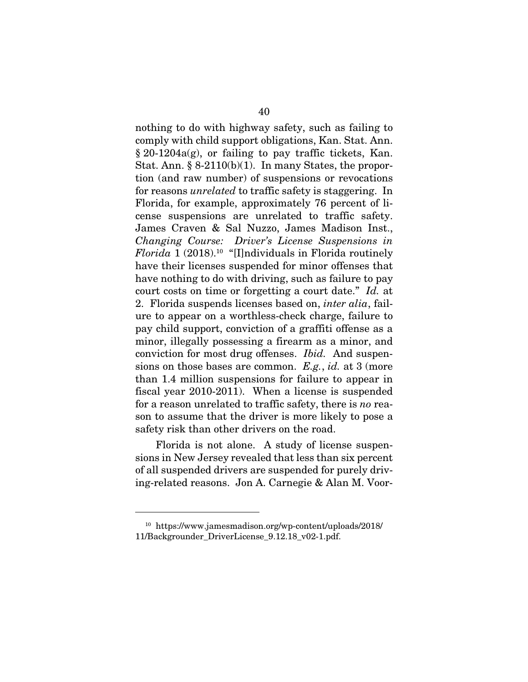nothing to do with highway safety, such as failing to comply with child support obligations, Kan. Stat. Ann. § 20-1204a(g), or failing to pay traffic tickets, Kan. Stat. Ann.  $\S 8-2110(b)(1)$ . In many States, the proportion (and raw number) of suspensions or revocations for reasons *unrelated* to traffic safety is staggering. In Florida, for example, approximately 76 percent of license suspensions are unrelated to traffic safety. James Craven & Sal Nuzzo, James Madison Inst., *Changing Course: Driver's License Suspensions in Florida* 1 (2018).10 "[I]ndividuals in Florida routinely have their licenses suspended for minor offenses that have nothing to do with driving, such as failure to pay court costs on time or forgetting a court date." *Id.* at 2. Florida suspends licenses based on, *inter alia*, failure to appear on a worthless-check charge, failure to pay child support, conviction of a graffiti offense as a minor, illegally possessing a firearm as a minor, and conviction for most drug offenses. *Ibid.* And suspensions on those bases are common. *E.g.*, *id.* at 3 (more than 1.4 million suspensions for failure to appear in fiscal year 2010-2011). When a license is suspended for a reason unrelated to traffic safety, there is *no* reason to assume that the driver is more likely to pose a safety risk than other drivers on the road.

Florida is not alone. A study of license suspensions in New Jersey revealed that less than six percent of all suspended drivers are suspended for purely driving-related reasons. Jon A. Carnegie & Alan M. Voor-

<sup>10</sup> https://www.jamesmadison.org/wp-content/uploads/2018/ 11/Backgrounder\_DriverLicense\_9.12.18\_v02-1.pdf.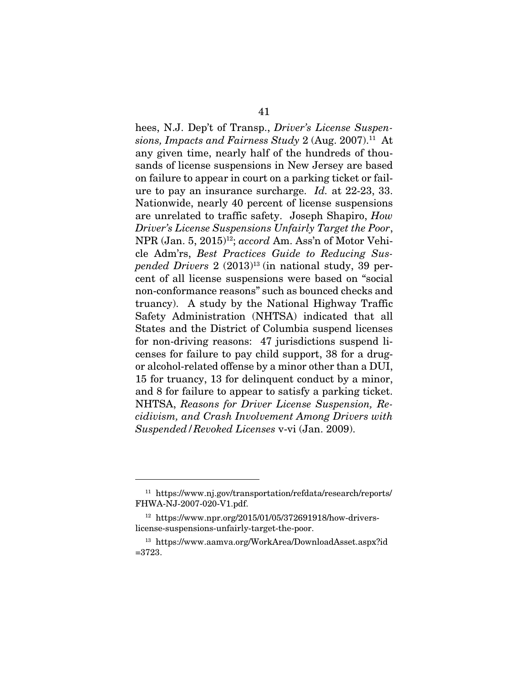hees, N.J. Dep't of Transp., *Driver's License Suspensions, Impacts and Fairness Study* 2 (Aug. 2007).11 At any given time, nearly half of the hundreds of thousands of license suspensions in New Jersey are based on failure to appear in court on a parking ticket or failure to pay an insurance surcharge. *Id.* at 22-23, 33. Nationwide, nearly 40 percent of license suspensions are unrelated to traffic safety. Joseph Shapiro, *How Driver's License Suspensions Unfairly Target the Poor*, NPR (Jan. 5, 2015)<sup>12</sup>; *accord* Am. Ass'n of Motor Vehicle Adm'rs, *Best Practices Guide to Reducing Suspended Drivers* 2 (2013)13 (in national study, 39 percent of all license suspensions were based on "social non-conformance reasons" such as bounced checks and truancy). A study by the National Highway Traffic Safety Administration (NHTSA) indicated that all States and the District of Columbia suspend licenses for non-driving reasons: 47 jurisdictions suspend licenses for failure to pay child support, 38 for a drugor alcohol-related offense by a minor other than a DUI, 15 for truancy, 13 for delinquent conduct by a minor, and 8 for failure to appear to satisfy a parking ticket. NHTSA, *Reasons for Driver License Suspension, Recidivism, and Crash Involvement Among Drivers with Suspended/Revoked Licenses* v-vi (Jan. 2009).

<sup>11</sup> https://www.nj.gov/transportation/refdata/research/reports/ FHWA-NJ-2007-020-V1.pdf.

<sup>12</sup> https://www.npr.org/2015/01/05/372691918/how-driverslicense-suspensions-unfairly-target-the-poor.

<sup>13</sup> https://www.aamva.org/WorkArea/DownloadAsset.aspx?id =3723.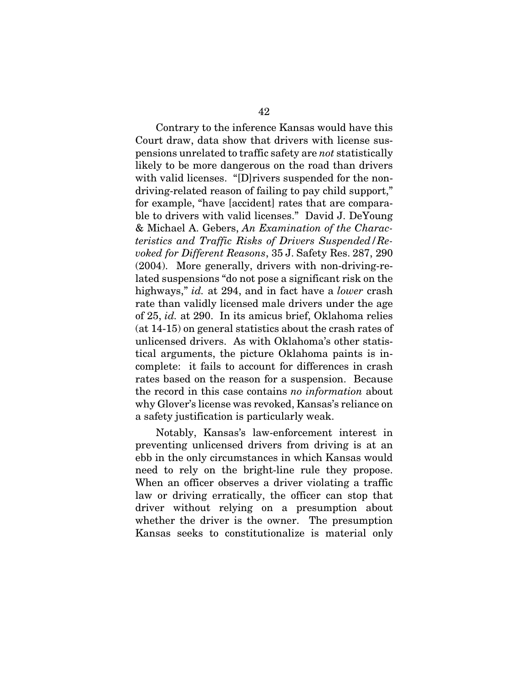Contrary to the inference Kansas would have this Court draw, data show that drivers with license suspensions unrelated to traffic safety are *not* statistically likely to be more dangerous on the road than drivers with valid licenses. "[D]rivers suspended for the nondriving-related reason of failing to pay child support," for example, "have [accident] rates that are comparable to drivers with valid licenses." David J. DeYoung & Michael A. Gebers, *An Examination of the Characteristics and Traffic Risks of Drivers Suspended/Revoked for Different Reasons*, 35 J. Safety Res. 287, 290 (2004). More generally, drivers with non-driving-related suspensions "do not pose a significant risk on the highways," *id.* at 294, and in fact have a *lower* crash rate than validly licensed male drivers under the age of 25, *id.* at 290. In its amicus brief, Oklahoma relies (at 14-15) on general statistics about the crash rates of unlicensed drivers. As with Oklahoma's other statistical arguments, the picture Oklahoma paints is incomplete: it fails to account for differences in crash rates based on the reason for a suspension. Because the record in this case contains *no information* about why Glover's license was revoked, Kansas's reliance on a safety justification is particularly weak.

Notably, Kansas's law-enforcement interest in preventing unlicensed drivers from driving is at an ebb in the only circumstances in which Kansas would need to rely on the bright-line rule they propose. When an officer observes a driver violating a traffic law or driving erratically, the officer can stop that driver without relying on a presumption about whether the driver is the owner. The presumption Kansas seeks to constitutionalize is material only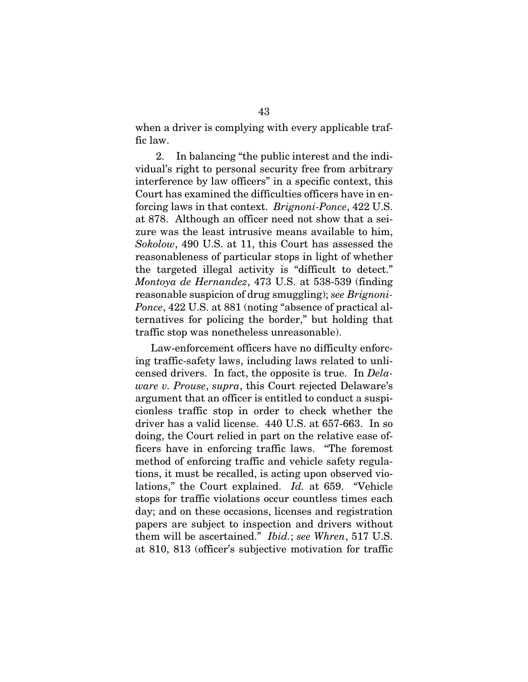when a driver is complying with every applicable traffic law.

2. In balancing "the public interest and the individual's right to personal security free from arbitrary interference by law officers" in a specific context, this Court has examined the difficulties officers have in enforcing laws in that context. *Brignoni-Ponce*, 422 U.S. at 878. Although an officer need not show that a seizure was the least intrusive means available to him, *Sokolow*, 490 U.S. at 11, this Court has assessed the reasonableness of particular stops in light of whether the targeted illegal activity is "difficult to detect." *Montoya de Hernandez*, 473 U.S. at 538-539 (finding reasonable suspicion of drug smuggling); *see Brignoni-Ponce*, 422 U.S. at 881 (noting "absence of practical alternatives for policing the border," but holding that traffic stop was nonetheless unreasonable).

Law-enforcement officers have no difficulty enforcing traffic-safety laws, including laws related to unlicensed drivers. In fact, the opposite is true. In *Delaware v. Prouse*, *supra*, this Court rejected Delaware's argument that an officer is entitled to conduct a suspicionless traffic stop in order to check whether the driver has a valid license. 440 U.S. at 657-663. In so doing, the Court relied in part on the relative ease officers have in enforcing traffic laws. "The foremost method of enforcing traffic and vehicle safety regulations, it must be recalled, is acting upon observed violations," the Court explained. *Id.* at 659. "Vehicle stops for traffic violations occur countless times each day; and on these occasions, licenses and registration papers are subject to inspection and drivers without them will be ascertained." *Ibid.*; *see Whren*, 517 U.S. at 810, 813 (officer's subjective motivation for traffic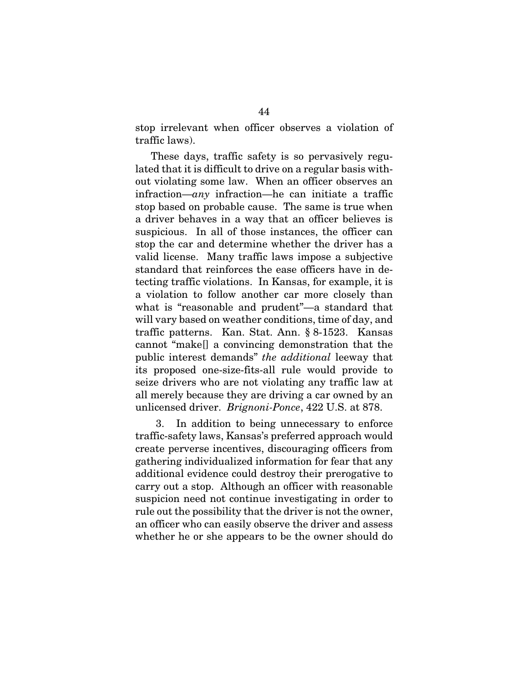stop irrelevant when officer observes a violation of traffic laws).

These days, traffic safety is so pervasively regulated that it is difficult to drive on a regular basis without violating some law. When an officer observes an infraction—*any* infraction—he can initiate a traffic stop based on probable cause. The same is true when a driver behaves in a way that an officer believes is suspicious. In all of those instances, the officer can stop the car and determine whether the driver has a valid license. Many traffic laws impose a subjective standard that reinforces the ease officers have in detecting traffic violations. In Kansas, for example, it is a violation to follow another car more closely than what is "reasonable and prudent"—a standard that will vary based on weather conditions, time of day, and traffic patterns. Kan. Stat. Ann. § 8-1523. Kansas cannot "make[] a convincing demonstration that the public interest demands" *the additional* leeway that its proposed one-size-fits-all rule would provide to seize drivers who are not violating any traffic law at all merely because they are driving a car owned by an unlicensed driver. *Brignoni-Ponce*, 422 U.S. at 878.

3. In addition to being unnecessary to enforce traffic-safety laws, Kansas's preferred approach would create perverse incentives, discouraging officers from gathering individualized information for fear that any additional evidence could destroy their prerogative to carry out a stop. Although an officer with reasonable suspicion need not continue investigating in order to rule out the possibility that the driver is not the owner, an officer who can easily observe the driver and assess whether he or she appears to be the owner should do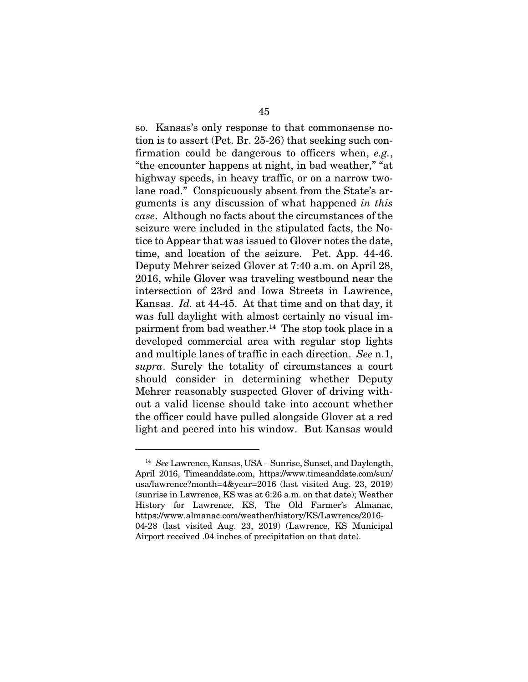so. Kansas's only response to that commonsense notion is to assert (Pet. Br. 25-26) that seeking such confirmation could be dangerous to officers when, *e.g.*, "the encounter happens at night, in bad weather," "at highway speeds, in heavy traffic, or on a narrow twolane road." Conspicuously absent from the State's arguments is any discussion of what happened *in this case*. Although no facts about the circumstances of the seizure were included in the stipulated facts, the Notice to Appear that was issued to Glover notes the date, time, and location of the seizure. Pet. App. 44-46. Deputy Mehrer seized Glover at 7:40 a.m. on April 28, 2016, while Glover was traveling westbound near the intersection of 23rd and Iowa Streets in Lawrence, Kansas. *Id.* at 44-45. At that time and on that day, it was full daylight with almost certainly no visual impairment from bad weather.<sup>14</sup> The stop took place in a developed commercial area with regular stop lights and multiple lanes of traffic in each direction. *See* n.1, *supra*. Surely the totality of circumstances a court should consider in determining whether Deputy Mehrer reasonably suspected Glover of driving without a valid license should take into account whether the officer could have pulled alongside Glover at a red light and peered into his window. But Kansas would

<sup>14</sup> *See* Lawrence, Kansas, USA – Sunrise, Sunset, and Daylength, April 2016, Timeanddate.com, https://www.timeanddate.com/sun/ usa/lawrence?month=4&year=2016 (last visited Aug. 23, 2019) (sunrise in Lawrence, KS was at 6:26 a.m. on that date); Weather History for Lawrence, KS, The Old Farmer's Almanac, https://www.almanac.com/weather/history/KS/Lawrence/2016- 04-28 (last visited Aug. 23, 2019) (Lawrence, KS Municipal Airport received .04 inches of precipitation on that date).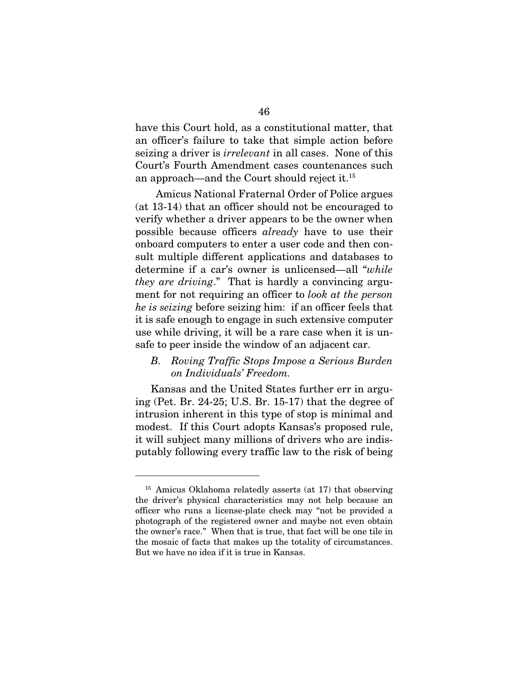have this Court hold, as a constitutional matter, that an officer's failure to take that simple action before seizing a driver is *irrelevant* in all cases. None of this Court's Fourth Amendment cases countenances such an approach—and the Court should reject it.15

Amicus National Fraternal Order of Police argues (at 13-14) that an officer should not be encouraged to verify whether a driver appears to be the owner when possible because officers *already* have to use their onboard computers to enter a user code and then consult multiple different applications and databases to determine if a car's owner is unlicensed—all "*while they are driving*." That is hardly a convincing argument for not requiring an officer to *look at the person he is seizing* before seizing him: if an officer feels that it is safe enough to engage in such extensive computer use while driving, it will be a rare case when it is unsafe to peer inside the window of an adjacent car.

## *B. Roving Traffic Stops Impose a Serious Burden on Individuals' Freedom.*

Kansas and the United States further err in arguing (Pet. Br. 24-25; U.S. Br. 15-17) that the degree of intrusion inherent in this type of stop is minimal and modest. If this Court adopts Kansas's proposed rule, it will subject many millions of drivers who are indisputably following every traffic law to the risk of being

<sup>15</sup> Amicus Oklahoma relatedly asserts (at 17) that observing the driver's physical characteristics may not help because an officer who runs a license-plate check may "not be provided a photograph of the registered owner and maybe not even obtain the owner's race." When that is true, that fact will be one tile in the mosaic of facts that makes up the totality of circumstances. But we have no idea if it is true in Kansas.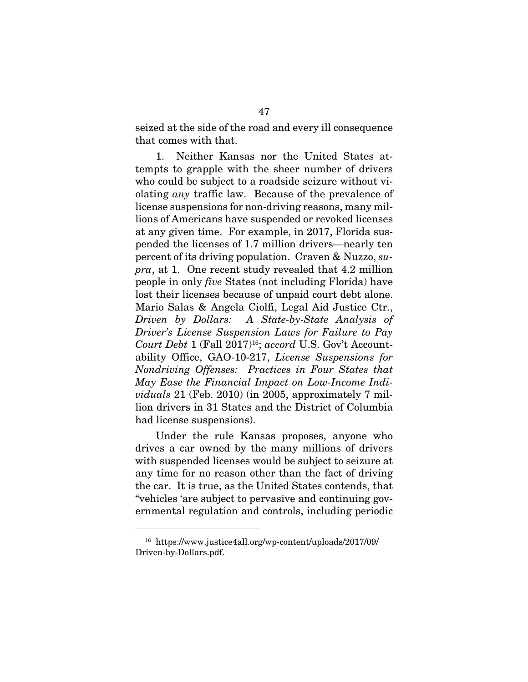seized at the side of the road and every ill consequence that comes with that.

1. Neither Kansas nor the United States attempts to grapple with the sheer number of drivers who could be subject to a roadside seizure without violating *any* traffic law. Because of the prevalence of license suspensions for non-driving reasons, many millions of Americans have suspended or revoked licenses at any given time. For example, in 2017, Florida suspended the licenses of 1.7 million drivers—nearly ten percent of its driving population. Craven & Nuzzo, *supra*, at 1. One recent study revealed that 4.2 million people in only *five* States (not including Florida) have lost their licenses because of unpaid court debt alone. Mario Salas & Angela Ciolfi, Legal Aid Justice Ctr., *Driven by Dollars: A State-by-State Analysis of Driver's License Suspension Laws for Failure to Pay Court Debt* 1 (Fall 2017)<sup>16</sup>; *accord* U.S. Gov't Accountability Office, GAO-10-217, *License Suspensions for Nondriving Offenses: Practices in Four States that May Ease the Financial Impact on Low-Income Individuals* 21 (Feb. 2010) (in 2005, approximately 7 million drivers in 31 States and the District of Columbia had license suspensions).

Under the rule Kansas proposes, anyone who drives a car owned by the many millions of drivers with suspended licenses would be subject to seizure at any time for no reason other than the fact of driving the car. It is true, as the United States contends, that "vehicles 'are subject to pervasive and continuing governmental regulation and controls, including periodic

<sup>16</sup> https://www.justice4all.org/wp-content/uploads/2017/09/ Driven-by-Dollars.pdf.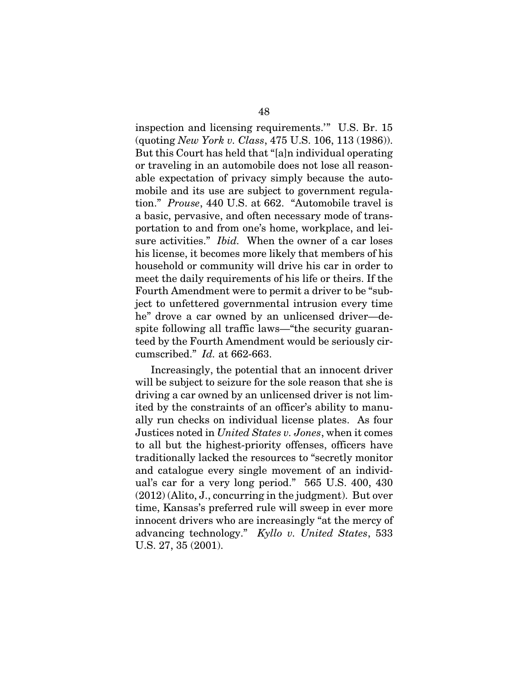inspection and licensing requirements.'" U.S. Br. 15 (quoting *New York v. Class*, 475 U.S. 106, 113 (1986)). But this Court has held that "[a]n individual operating or traveling in an automobile does not lose all reasonable expectation of privacy simply because the automobile and its use are subject to government regulation." *Prouse*, 440 U.S. at 662. "Automobile travel is a basic, pervasive, and often necessary mode of transportation to and from one's home, workplace, and leisure activities." *Ibid.* When the owner of a car loses his license, it becomes more likely that members of his household or community will drive his car in order to meet the daily requirements of his life or theirs. If the Fourth Amendment were to permit a driver to be "subject to unfettered governmental intrusion every time he" drove a car owned by an unlicensed driver—despite following all traffic laws—"the security guaranteed by the Fourth Amendment would be seriously circumscribed." *Id.* at 662-663.

Increasingly, the potential that an innocent driver will be subject to seizure for the sole reason that she is driving a car owned by an unlicensed driver is not limited by the constraints of an officer's ability to manually run checks on individual license plates. As four Justices noted in *United States v. Jones*, when it comes to all but the highest-priority offenses, officers have traditionally lacked the resources to "secretly monitor and catalogue every single movement of an individual's car for a very long period." 565 U.S. 400, 430 (2012) (Alito, J., concurring in the judgment). But over time, Kansas's preferred rule will sweep in ever more innocent drivers who are increasingly "at the mercy of advancing technology." *Kyllo v. United States*, 533 U.S. 27, 35 (2001).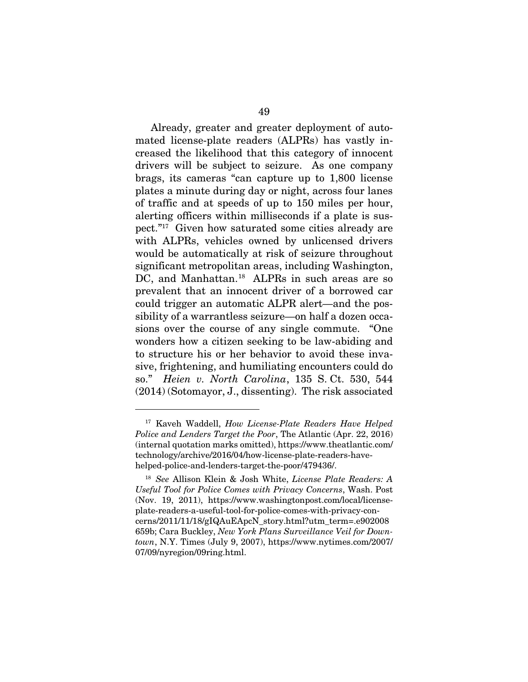Already, greater and greater deployment of automated license-plate readers (ALPRs) has vastly increased the likelihood that this category of innocent drivers will be subject to seizure. As one company brags, its cameras "can capture up to 1,800 license plates a minute during day or night, across four lanes of traffic and at speeds of up to 150 miles per hour, alerting officers within milliseconds if a plate is suspect."17 Given how saturated some cities already are with ALPRs, vehicles owned by unlicensed drivers would be automatically at risk of seizure throughout significant metropolitan areas, including Washington, DC, and Manhattan.<sup>18</sup> ALPRs in such areas are so prevalent that an innocent driver of a borrowed car could trigger an automatic ALPR alert—and the possibility of a warrantless seizure—on half a dozen occasions over the course of any single commute. "One wonders how a citizen seeking to be law-abiding and to structure his or her behavior to avoid these invasive, frightening, and humiliating encounters could do so." *Heien v. North Carolina*, 135 S. Ct. 530, 544 (2014) (Sotomayor, J., dissenting). The risk associated

<sup>17</sup> Kaveh Waddell, *How License-Plate Readers Have Helped Police and Lenders Target the Poor*, The Atlantic (Apr. 22, 2016) (internal quotation marks omitted), https://www.theatlantic.com/ technology/archive/2016/04/how-license-plate-readers-havehelped-police-and-lenders-target-the-poor/479436/.

<sup>18</sup> *See* Allison Klein & Josh White, *License Plate Readers: A Useful Tool for Police Comes with Privacy Concerns*, Wash. Post (Nov. 19, 2011), https://www.washingtonpost.com/local/licenseplate-readers-a-useful-tool-for-police-comes-with-privacy-concerns/2011/11/18/gIQAuEApcN\_story.html?utm\_term=.e902008 659b; Cara Buckley, *New York Plans Surveillance Veil for Downtown*, N.Y. Times (July 9, 2007), https://www.nytimes.com/2007/ 07/09/nyregion/09ring.html.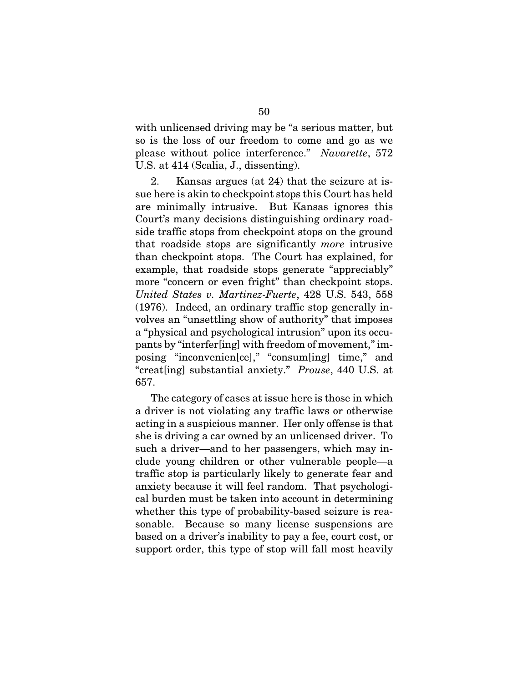with unlicensed driving may be "a serious matter, but so is the loss of our freedom to come and go as we please without police interference." *Navarette*, 572 U.S. at 414 (Scalia, J., dissenting).

2. Kansas argues (at 24) that the seizure at issue here is akin to checkpoint stops this Court has held are minimally intrusive. But Kansas ignores this Court's many decisions distinguishing ordinary roadside traffic stops from checkpoint stops on the ground that roadside stops are significantly *more* intrusive than checkpoint stops. The Court has explained, for example, that roadside stops generate "appreciably" more "concern or even fright" than checkpoint stops. *United States v. Martinez-Fuerte*, 428 U.S. 543, 558 (1976). Indeed, an ordinary traffic stop generally involves an "unsettling show of authority" that imposes a "physical and psychological intrusion" upon its occupants by "interfer[ing] with freedom of movement," imposing "inconvenien[ce]," "consum[ing] time," and "creat[ing] substantial anxiety." *Prouse*, 440 U.S. at 657.

The category of cases at issue here is those in which a driver is not violating any traffic laws or otherwise acting in a suspicious manner. Her only offense is that she is driving a car owned by an unlicensed driver. To such a driver—and to her passengers, which may include young children or other vulnerable people—a traffic stop is particularly likely to generate fear and anxiety because it will feel random. That psychological burden must be taken into account in determining whether this type of probability-based seizure is reasonable. Because so many license suspensions are based on a driver's inability to pay a fee, court cost, or support order, this type of stop will fall most heavily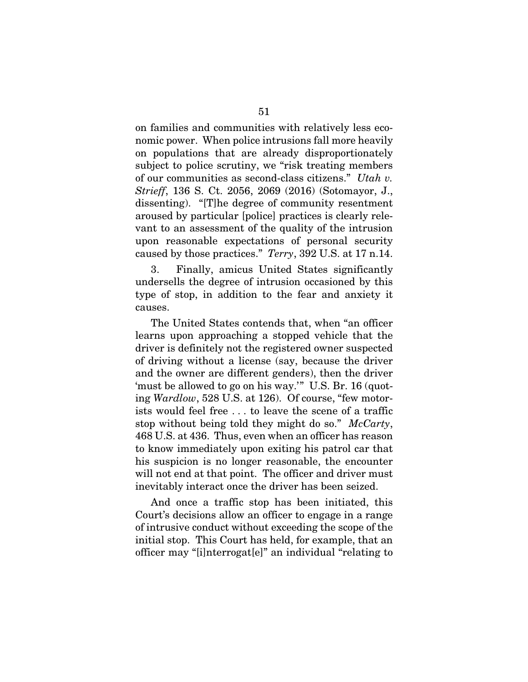on families and communities with relatively less economic power. When police intrusions fall more heavily on populations that are already disproportionately subject to police scrutiny, we "risk treating members of our communities as second-class citizens." *Utah v. Strieff*, 136 S. Ct. 2056, 2069 (2016) (Sotomayor, J., dissenting). "[T]he degree of community resentment aroused by particular [police] practices is clearly relevant to an assessment of the quality of the intrusion upon reasonable expectations of personal security caused by those practices." *Terry*, 392 U.S. at 17 n.14.

3. Finally, amicus United States significantly undersells the degree of intrusion occasioned by this type of stop, in addition to the fear and anxiety it causes.

The United States contends that, when "an officer learns upon approaching a stopped vehicle that the driver is definitely not the registered owner suspected of driving without a license (say, because the driver and the owner are different genders), then the driver 'must be allowed to go on his way.'" U.S. Br. 16 (quoting *Wardlow*, 528 U.S. at 126). Of course, "few motorists would feel free . . . to leave the scene of a traffic stop without being told they might do so." *McCarty*, 468 U.S. at 436. Thus, even when an officer has reason to know immediately upon exiting his patrol car that his suspicion is no longer reasonable, the encounter will not end at that point. The officer and driver must inevitably interact once the driver has been seized.

And once a traffic stop has been initiated, this Court's decisions allow an officer to engage in a range of intrusive conduct without exceeding the scope of the initial stop. This Court has held, for example, that an officer may "[i]nterrogat[e]" an individual "relating to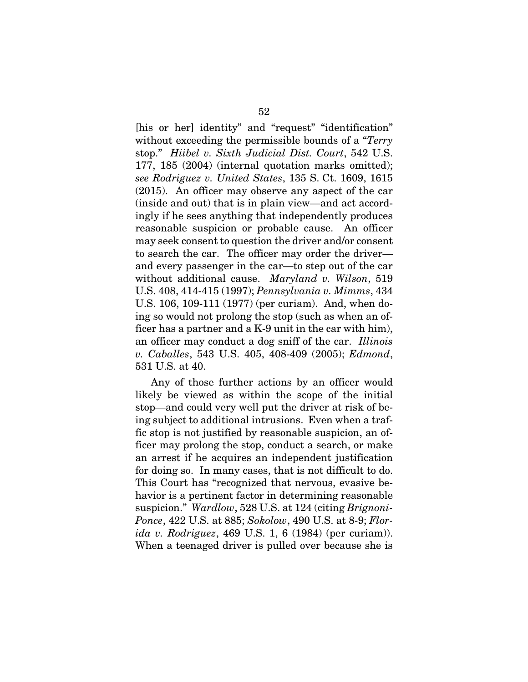[his or her] identity" and "request" "identification" without exceeding the permissible bounds of a "*Terry* stop." *Hiibel v. Sixth Judicial Dist. Court*, 542 U.S. 177, 185 (2004) (internal quotation marks omitted); *see Rodriguez v. United States*, 135 S. Ct. 1609, 1615 (2015). An officer may observe any aspect of the car (inside and out) that is in plain view—and act accordingly if he sees anything that independently produces reasonable suspicion or probable cause. An officer may seek consent to question the driver and/or consent to search the car. The officer may order the driver and every passenger in the car—to step out of the car without additional cause. *Maryland v. Wilson*, 519 U.S. 408, 414-415 (1997); *Pennsylvania v. Mimms*, 434 U.S. 106, 109-111 (1977) (per curiam). And, when doing so would not prolong the stop (such as when an officer has a partner and a K-9 unit in the car with him), an officer may conduct a dog sniff of the car. *Illinois v. Caballes*, 543 U.S. 405, 408-409 (2005); *Edmond*, 531 U.S. at 40.

Any of those further actions by an officer would likely be viewed as within the scope of the initial stop—and could very well put the driver at risk of being subject to additional intrusions. Even when a traffic stop is not justified by reasonable suspicion, an officer may prolong the stop, conduct a search, or make an arrest if he acquires an independent justification for doing so. In many cases, that is not difficult to do. This Court has "recognized that nervous, evasive behavior is a pertinent factor in determining reasonable suspicion." *Wardlow*, 528 U.S. at 124 (citing *Brignoni-Ponce*, 422 U.S. at 885; *Sokolow*, 490 U.S. at 8-9; *Florida v. Rodriguez*, 469 U.S. 1, 6 (1984) (per curiam)). When a teenaged driver is pulled over because she is